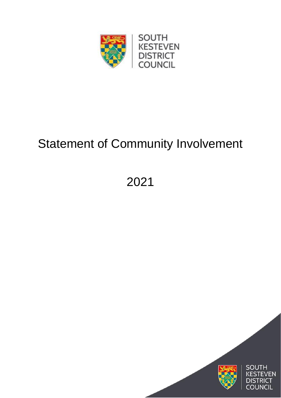

# Statement of Community Involvement

2021

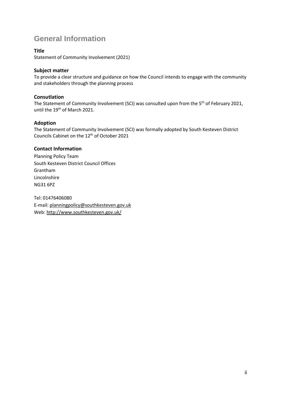# **General Information**

#### **Title**

Statement of Community Involvement (2021)

#### **Subject matter**

To provide a clear structure and guidance on how the Council intends to engage with the community and stakeholders through the planning process

#### **Consutlation**

The Statement of Community Involvement (SCI) was consulted upon from the 5<sup>th</sup> of February 2021, until the 19<sup>th</sup> of March 2021.

#### **Adoption**

The Statement of Community Involvement (SCI) was formally adopted by South Kesteven District Councils Cabinet on the 12th of October 2021

### **Contact Information**

Planning Policy Team South Kesteven District Council Offices Grantham Lincolnshire NG31 6PZ

Tel: 01476406080 E-mail: [planningpolicy@southkesteven.gov.uk](mailto:planningpolicy@southkesteven.gov.uk) Web[: http://www.southkesteven.gov.uk/](http://www.southkesteven.gov.uk/)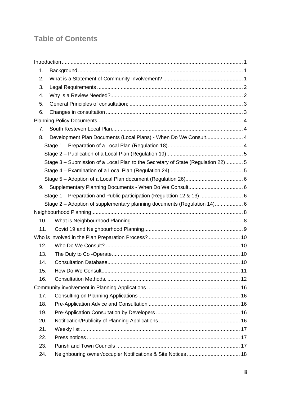# **Table of Contents**

| 1.  |                                                                                 |  |
|-----|---------------------------------------------------------------------------------|--|
| 2.  |                                                                                 |  |
| 3.  |                                                                                 |  |
| 4.  |                                                                                 |  |
| 5.  |                                                                                 |  |
| 6.  |                                                                                 |  |
|     |                                                                                 |  |
| 7.  |                                                                                 |  |
| 8.  | Development Plan Documents (Local Plans) - When Do We Consult 4                 |  |
|     |                                                                                 |  |
|     |                                                                                 |  |
|     | Stage 3 - Submission of a Local Plan to the Secretary of State (Regulation 22)5 |  |
|     |                                                                                 |  |
|     |                                                                                 |  |
| 9.  |                                                                                 |  |
|     | Stage 1 – Preparation and Public participation (Regulation 12 & 13)  6          |  |
|     | Stage 2 - Adoption of supplementary planning documents (Regulation 14) 6        |  |
|     |                                                                                 |  |
| 10. |                                                                                 |  |
| 11. |                                                                                 |  |
|     |                                                                                 |  |
| 12. |                                                                                 |  |
| 13. |                                                                                 |  |
| 14. |                                                                                 |  |
| 15. |                                                                                 |  |
| 16. |                                                                                 |  |
|     |                                                                                 |  |
| 17. |                                                                                 |  |
| 18. |                                                                                 |  |
| 19. |                                                                                 |  |
| 20. |                                                                                 |  |
| 21. |                                                                                 |  |
| 22. |                                                                                 |  |
| 23. |                                                                                 |  |
| 24. |                                                                                 |  |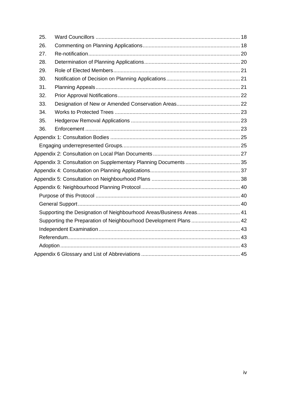| 25. |                                                                     |  |
|-----|---------------------------------------------------------------------|--|
| 26. |                                                                     |  |
| 27. |                                                                     |  |
| 28. |                                                                     |  |
| 29. |                                                                     |  |
| 30. |                                                                     |  |
| 31. |                                                                     |  |
| 32. |                                                                     |  |
| 33. |                                                                     |  |
| 34. |                                                                     |  |
| 35. |                                                                     |  |
| 36. |                                                                     |  |
|     |                                                                     |  |
|     |                                                                     |  |
|     |                                                                     |  |
|     |                                                                     |  |
|     |                                                                     |  |
|     |                                                                     |  |
|     |                                                                     |  |
|     |                                                                     |  |
|     |                                                                     |  |
|     | Supporting the Designation of Neighbourhood Areas/Business Areas 41 |  |
|     | Supporting the Preparation of Neighbourhood Development Plans  42   |  |
|     |                                                                     |  |
|     |                                                                     |  |
|     |                                                                     |  |
|     |                                                                     |  |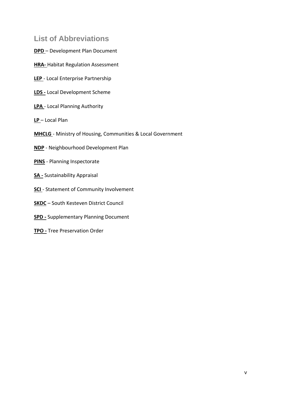# **List of Abbreviations**

- **DPD** Development Plan Document
- **HRA-** Habitat Regulation Assessment
- **LEP** Local Enterprise Partnership
- **LDS -** Local Development Scheme
- **LPA**  Local Planning Authority
- **LP**  Local Plan
- **MHCLG**  Ministry of Housing, Communities & Local Government
- **NDP** Neighbourhood Development Plan
- **PINS** Planning Inspectorate
- **SA -** Sustainability Appraisal
- **SCI**  Statement of Community Involvement
- **SKDC** South Kesteven District Council
- **SPD -** Supplementary Planning Document
- **TPO -** Tree Preservation Order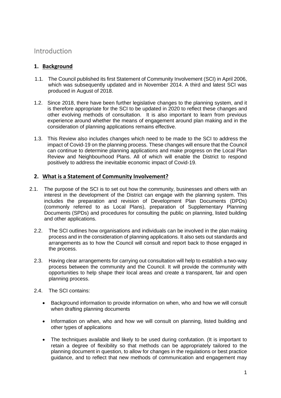# <span id="page-5-0"></span>Introduction

# <span id="page-5-1"></span>**1. Background**

- 1.1. The Council published its first Statement of Community Involvement (SCI) in April 2006, which was subsequently updated and in November 2014. A third and latest SCI was produced in August of 2018.
- 1.2. Since 2018, there have been further legislative changes to the planning system, and it is therefore appropriate for the SCI to be updated in 2020 to reflect these changes and other evolving methods of consultation. It is also important to learn from previous experience around whether the means of engagement around plan making and in the consideration of planning applications remains effective.
- 1.3. This Review also includes changes which need to be made to the SCI to address the impact of Covid-19 on the planning process. These changes will ensure that the Council can continue to determine planning applications and make progress on the Local Plan Review and Neighbourhood Plans. All of which will enable the District to respond positively to address the inevitable economic impact of Covid-19.

# <span id="page-5-2"></span>**2. What is a Statement of Community Involvement?**

- 2.1. The purpose of the SCI is to set out how the community, businesses and others with an interest in the development of the District can engage with the planning system. This includes the preparation and revision of Development Plan Documents (DPDs) (commonly referred to as Local Plans), preparation of Supplementary Planning Documents (SPDs) and procedures for consulting the public on planning, listed building and other applications.
	- 2.2. The SCI outlines how organisations and individuals can be involved in the plan making process and in the consideration of planning applications. It also sets out standards and arrangements as to how the Council will consult and report back to those engaged in the process.
	- 2.3. Having clear arrangements for carrying out consultation will help to establish a two-way process between the community and the Council. It will provide the community with opportunities to help shape their local areas and create a transparent, fair and open planning process.
	- 2.4. The SCI contains:
		- Background information to provide information on when, who and how we will consult when drafting planning documents
		- Information on when, who and how we will consult on planning, listed building and other types of applications
		- The techniques available and likely to be used during confutation. (It is important to retain a degree of flexibility so that methods can be appropriately tailored to the planning document in question, to allow for changes in the regulations or best practice guidance, and to reflect that new methods of communication and engagement may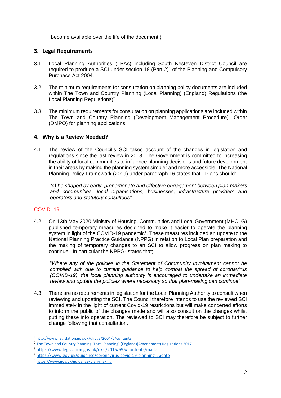become available over the life of the document.)

### <span id="page-6-0"></span>**3. Legal Requirements**

- 3.1. Local Planning Authorities (LPAs) including South Kesteven District Council are required to produce a SCI under section 18 (Part  $2$ )<sup>1</sup> of the Planning and Compulsory Purchase Act 2004.
- 3.2. The minimum requirements for consultation on planning policy documents are included within The Town and Country Planning (Local Planning) (England) Regulations (the Local Planning Regulations)<sup>2</sup>
- 3.3. The minimum requirements for consultation on planning applications are included within The Town and Country Planning (Development Management Procedure)<sup>3</sup> Order (DMPO) for planning applications.

#### <span id="page-6-1"></span>**4. Why is a Review Needed?**

4.1. The review of the Council's SCI takes account of the changes in legislation and regulations since the last review in 2018. The Government is committed to increasing the ability of local communities to influence planning decisions and future development in their areas by making the planning system simpler and more accessible. The National Planning Policy Framework (2019) under paragraph 16 states that - Plans should:

*"c) be shaped by early, proportionate and effective engagement between plan-makers and communities, local organisations, businesses, infrastructure providers and operators and statutory consultees"*

### COVID- 19

4.2. On 13th May 2020 Ministry of Housing, Communities and Local Government (MHCLG) published temporary measures designed to make it easier to operate the planning system in light of the COVID-19 pandemic<sup>4</sup>. These measures included an update to the National Planning Practice Guidance (NPPG) in relation to Local Plan preparation and the making of temporary changes to an SCI to allow progress on plan making to continue. In particular the NPP $\tilde{G}^5$  states that:

"*Where any of the policies in the Statement of Community Involvement cannot be complied with due to current guidance to help combat the spread of coronavirus (COVID-19), the local planning authority is encouraged to undertake an immediate review and update the policies where necessary so that plan-making can continue"*

4.3. There are no requirements in legislation for the Local Planning Authority to consult when reviewing and updating the SCI. The Council therefore intends to use the reviewed SCI immediately in the light of current Covid-19 restrictions but will make concerted efforts to inform the public of the changes made and will also consult on the changes whilst putting these into operation. The reviewed to SCI may therefore be subject to further change following that consultation.

<sup>1</sup> <http://www.legislation.gov.uk/ukpga/2004/5/contents>

<sup>&</sup>lt;sup>2</sup> The Town and Country Planning (Local Planning) (England) (Amendment) Regulations 2017

<sup>3</sup> <https://www.legislation.gov.uk/uksi/2015/595/contents/made>

<sup>4</sup> <https://www.gov.uk/guidance/coronavirus-covid-19-planning-update>

<sup>5</sup> <https://www.gov.uk/guidance/plan-making>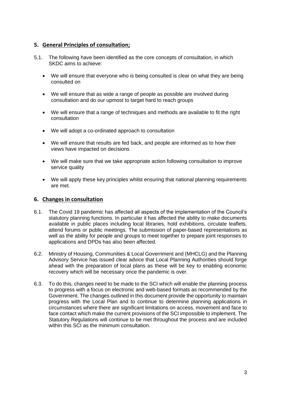## <span id="page-7-0"></span>**5. General Principles of consultation;**

- 5.1. The following have been identified as the core concepts of consultation, in which SKDC aims to achieve:
	- We will ensure that everyone who is being consulted is clear on what they are being consulted on
	- We will ensure that as wide a range of people as possible are involved during consultation and do our upmost to target hard to reach groups
	- We will ensure that a range of techniques and methods are available to fit the right consultation
	- We will adopt a co-ordinated approach to consultation
	- We will ensure that results are fed back, and people are informed as to how their views have impacted on decisions
	- We will make sure that we take appropriate action following consultation to improve service quality
	- We will apply these key principles whilst ensuring that national planning requirements are met.

### <span id="page-7-1"></span>**6. Changes in consultation**

- 6.1. The Covid 19 pandemic has affected all aspects of the implementation of the Council's statutory planning functions. In particular it has affected the ability to make documents available in public places including local libraries, hold exhibitions, circulate leaflets, attend forums or public meetings. The submission of paper-based representations as well as the ability for people and groups to meet together to prepare joint responses to applications and DPDs has also been affected.
- 6.2. Ministry of Housing, Communities & Local Government and (MHCLG) and the Planning Advisory Service has issued clear advice that Local Planning Authorities should forge ahead with the preparation of local plans as these will be key to enabling economic recovery which will be necessary once the pandemic is over.
- 6.3. To do this, changes need to be made to the SCI which will enable the planning process to progress with a focus on electronic and web-based formats as recommended by the Government. The changes outlined in this document provide the opportunity to maintain progress with the Local Plan and to continue to determine planning applications in circumstances where there are significant limitations on access, movement and face to face contact which make the current provisions of the SCI impossible to implement. The Statutory Regulations will continue to be met throughout the process and are included within this SCI as the minimum consultation.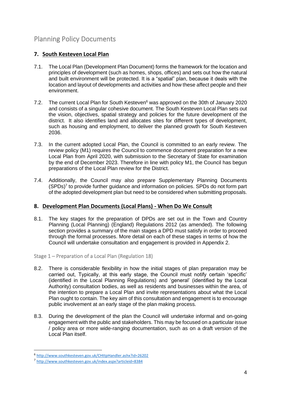# <span id="page-8-0"></span>Planning Policy Documents

# <span id="page-8-1"></span>**7. South Kesteven Local Plan**

- 7.1. The Local Plan (Development Plan Document) forms the framework for the location and principles of development (such as homes, shops, offices) and sets out how the natural and built environment will be protected. It is a "spatial" plan, because it deals with the location and layout of developments and activities and how these affect people and their environment.
- 7.2. The current Local Plan for South Kesteven<sup>6</sup> was approved on the 30th of January 2020 and consists of a singular cohesive document. The South Kesteven Local Plan sets out the vision, objectives, spatial strategy and policies for the future development of the district. It also identifies land and allocates sites for different types of development, such as housing and employment, to deliver the planned growth for South Kesteven 2036.
- 7.3. In the current adopted Local Plan, the Council is committed to an early review. The review policy (M1) requires the Council to commence document preparation for a new Local Plan from April 2020, with submission to the Secretary of State for examination by the end of December 2023. Therefore in line with policy M1, the Council has begun preparations of the Local Plan review for the District.
- 7.4. Additionally, the Council may also prepare Supplementary Planning Documents  $(SPDs)<sup>7</sup>$  to provide further guidance and information on policies. SPDs do not form part of the adopted development plan but need to be considered when submitting proposals.

### <span id="page-8-2"></span>**8. Development Plan Documents (Local Plans) - When Do We Consult**

8.1. The key stages for the preparation of DPDs are set out in the Town and Country Planning (Local Planning) (England) Regulations 2012 (as amended). The following section provides a summary of the main stages a DPD must satisfy in order to proceed through the formal processes. More detail on each of these stages in terms of how the Council will undertake consultation and engagement is provided in Appendix 2.

### <span id="page-8-3"></span>Stage 1 – Preparation of a Local Plan (Regulation 18)

- 8.2. There is considerable flexibility in how the initial stages of plan preparation may be carried out, Typically, at this early stage, the Council must notify certain 'specific' (identified in the Local Planning Regulations) and 'general' (identified by the Local Authority) consultation bodies, as well as residents and businesses within the area, of the intention to prepare a Local Plan and invite representations about what the Local Plan ought to contain. The key aim of this consultation and engagement is to encourage public involvement at an early stage of the plan making process.
- 8.3. During the development of the plan the Council will undertake informal and on-going engagement with the public and stakeholders. This may be focused on a particular issue / policy area or more wide-ranging documentation, such as on a draft version of the Local Plan itself.

<sup>6</sup> <http://www.southkesteven.gov.uk/CHttpHandler.ashx?id=26202>

<sup>7</sup> <http://www.southkesteven.gov.uk/index.aspx?articleid=8384>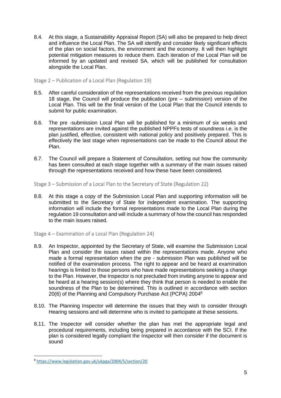8.4. At this stage, a Sustainability Appraisal Report (SA) will also be prepared to help direct and influence the Local Plan. The SA will identify and consider likely significant effects of the plan on social factors, the environment and the economy. It will then highlight potential mitigation measures to reduce them. Each iteration of the Local Plan will be informed by an updated and revised SA, which will be published for consultation alongside the Local Plan.

<span id="page-9-0"></span>Stage 2 – Publication of a Local Plan (Regulation 19)

- 8.5. After careful consideration of the representations received from the previous regulation 18 stage, the Council will produce the publication (pre – submission) version of the Local Plan. This will be the final version of the Local Plan that the Council intends to submit for public examination.
- 8.6. The pre -submission Local Plan will be published for a minimum of six weeks and representations are invited against the published NPPFs tests of soundness i.e. is the plan justified, effective, consistent with national policy and positively prepared. This is effectively the last stage when representations can be made to the Council about the Plan.
- 8.7. The Council will prepare a Statement of Consultation, setting out how the community has been consulted at each stage together with a summary of the main issues raised through the representations received and how these have been considered.

<span id="page-9-1"></span>Stage 3 – Submission of a Local Plan to the Secretary of State (Regulation 22)

8.8. At this stage a copy of the Submission Local Plan and supporting information will be submitted to the Secretary of State for independent examination. The supporting information will include the formal representations made to the Local Plan during the regulation 19 consultation and will include a summary of how the council has responded to the main issues raised.

<span id="page-9-2"></span>Stage 4 – Examination of a Local Plan (Regulation 24)

- 8.9. An Inspector, appointed by the Secretary of State, will examine the Submission Local Plan and consider the issues raised within the representations made. Anyone who made a formal representation when the pre - submission Plan was published will be notified of the examination process. The right to appear and be heard at examination hearings is limited to those persons who have made representations seeking a change to the Plan. However, the Inspector is not precluded from inviting anyone to appear and be heard at a hearing session(s) where they think that person is needed to enable the soundness of the Plan to be determined. This is outlined in accordance with section 20(6) of the Planning and Compulsory Purchase Act (PCPA) 2004<sup>8</sup>
- 8.10. The Planning Inspector will determine the issues that they wish to consider through Hearing sessions and will determine who is invited to participate at these sessions.
- 8.11. The Inspector will consider whether the plan has met the appropriate legal and procedural requirements, including being prepared in accordance with the SCI. If the plan is considered legally compliant the Inspector will then consider if the document is sound

<sup>8</sup> <https://www.legislation.gov.uk/ukpga/2004/5/section/20>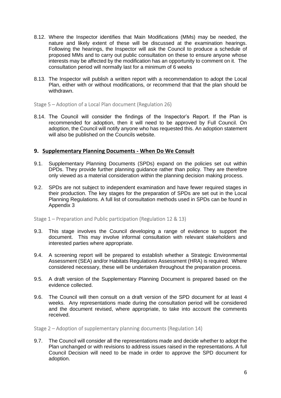- 8.12. Where the Inspector identifies that Main Modifications (MMs) may be needed, the nature and likely extent of these will be discussed at the examination hearings. Following the hearings, the Inspector will ask the Council to produce a schedule of proposed MMs and to carry out public consultation on these to ensure anyone whose interests may be affected by the modification has an opportunity to comment on it. The consultation period will normally last for a minimum of 6 weeks
- 8.13. The Inspector will publish a written report with a recommendation to adopt the Local Plan, either with or without modifications, or recommend that that the plan should be withdrawn.

<span id="page-10-0"></span>Stage 5 – Adoption of a Local Plan document (Regulation 26)

8.14. The Council will consider the findings of the Inspector's Report. If the Plan is recommended for adoption, then it will need to be approved by Full Council. On adoption, the Council will notify anyone who has requested this. An adoption statement will also be published on the Councils website.

### <span id="page-10-1"></span>**9. Supplementary Planning Documents - When Do We Consult**

- 9.1. Supplementary Planning Documents (SPDs) expand on the policies set out within DPDs. They provide further planning guidance rather than policy. They are therefore only viewed as a material consideration within the planning decision making process.
- 9.2. SPDs are not subject to independent examination and have fewer required stages in their production. The key stages for the preparation of SPDs are set out in the Local Planning Regulations. A full list of consultation methods used in SPDs can be found in Appendix 3

<span id="page-10-2"></span>Stage 1 – Preparation and Public participation (Regulation 12 & 13)

- 9.3. This stage involves the Council developing a range of evidence to support the document. This may involve informal consultation with relevant stakeholders and interested parties where appropriate.
- 9.4. A screening report will be prepared to establish whether a Strategic Environmental Assessment (SEA) and/or Habitats Regulations Assessment (HRA) is required. Where considered necessary, these will be undertaken throughout the preparation process.
- 9.5. A draft version of the Supplementary Planning Document is prepared based on the evidence collected.
- 9.6. The Council will then consult on a draft version of the SPD document for at least 4 weeks. Any representations made during the consultation period will be considered and the document revised, where appropriate, to take into account the comments received.

<span id="page-10-3"></span>Stage 2 – Adoption of supplementary planning documents (Regulation 14)

9.7. The Council will consider all the representations made and decide whether to adopt the Plan unchanged or with revisions to address issues raised in the representations. A full Council Decision will need to be made in order to approve the SPD document for adoption.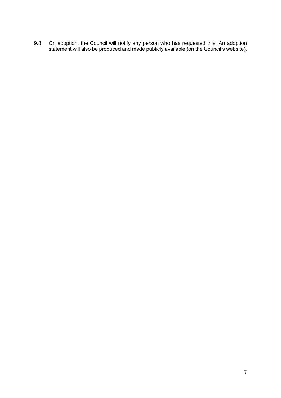9.8. On adoption, the Council will notify any person who has requested this. An adoption statement will also be produced and made publicly available (on the Council's website).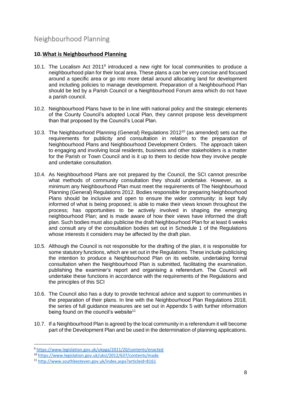# <span id="page-12-0"></span>Neighbourhood Planning

### <span id="page-12-1"></span>**10.What is Neighbourhood Planning**

- 10.1. The Localism Act  $2011<sup>9</sup>$  introduced a new right for local communities to produce a neighbourhood plan for their local area. These plans a can be very concise and focused around a specific area or go into more detail around allocating land for development and including policies to manage development. Preparation of a Neighbourhood Plan should be led by a Parish Council or a Neighbourhood Forum area which do not have a parish council.
- 10.2. Neighbourhood Plans have to be in line with national policy and the strategic elements of the County Council's adopted Local Plan, they cannot propose less development than that proposed by the Council's Local Plan.
- 10.3. The Neighbourhood Planning (General) Regulations 2012<sup>10</sup> (as amended) sets out the requirements for publicity and consultation in relation to the preparation of Neighbourhood Plans and Neighbourhood Development Orders. The approach taken to engaging and involving local residents, business and other stakeholders is a matter for the Parish or Town Council and is it up to them to decide how they involve people and undertake consultation.
- 10.4. As Neighbourhood Plans are not prepared by the Council, the SCI cannot prescribe what methods of community consultation they should undertake. However, as a minimum any Neighbourhood Plan must meet the requirements of The Neighbourhood Planning (General) Regulations 2012. Bodies responsible for preparing Neighbourhood Plans should be inclusive and open to ensure the wider community: is kept fully informed of what is being proposed; is able to make their views known throughout the process; has opportunities to be actively involved in shaping the emerging neighbourhood Plan; and is made aware of how their views have informed the draft plan. Such bodies must also publicise the draft Neighbourhood Plan for at least 6 weeks and consult any of the consultation bodies set out in Schedule 1 of the Regulations whose interests it considers may be affected by the draft plan.
- 10.5. Although the Council is not responsible for the drafting of the plan, it is responsible for some statutory functions, which are set out in the Regulations. These include publicising the intention to produce a Neighbourhood Plan on its website, undertaking formal consultation when the Neighbourhood Plan is submitted, facilitating the examination, publishing the examiner's report and organising a referendum. The Council will undertake these functions in accordance with the requirements of the Regulations and the principles of this SCI
- 10.6. The Council also has a duty to provide technical advice and support to communities in the preparation of their plans. In line with the Neighbourhood Plan Regulations 2018, the series of full guidance measures are set out in Appendix 5 with further information being found on the council's website<sup>11</sup>
- 10.7. If a Neighbourhood Plan is agreed by the local community in a referendum it will become part of the Development Plan and be used in the determination of planning applications.

<sup>9</sup> <https://www.legislation.gov.uk/ukpga/2011/20/contents/enacted>

<sup>10</sup> <https://www.legislation.gov.uk/uksi/2012/637/contents/made>

<sup>11</sup> <http://www.southkesteven.gov.uk/index.aspx?articleid=8161>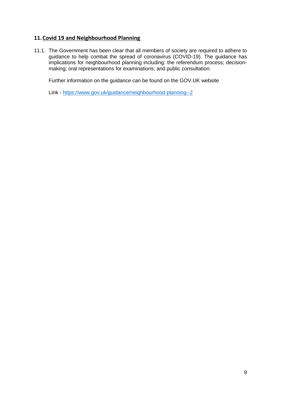# <span id="page-13-0"></span>**11.Covid 19 and Neighbourhood Planning**

11.1. The Government has been clear that all members of society are required to adhere to guidance to help combat the spread of coronavirus (COVID-19). The guidance has implications for neighbourhood planning including: the referendum process; decisionmaking; oral representations for examinations; and public consultation.

Further information on the guidance can be found on the GOV.UK website

Link - <https://www.gov.uk/guidance/neighbourhood-planning--2>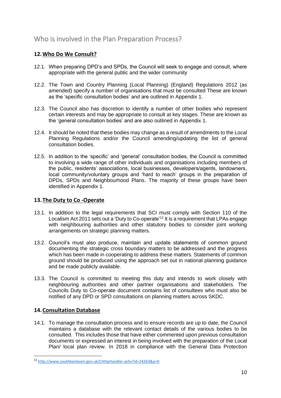# <span id="page-14-0"></span>Who is involved in the Plan Preparation Process?

# <span id="page-14-1"></span>**12.Who Do We Consult?**

- 12.1. When preparing DPD's and SPDs, the Council will seek to engage and consult, where appropriate with the general public and the wider community
- 12.2. The Town and Country Planning (Local Planning) (England) Regulations 2012 (as amended) specify a number of organisations that must be consulted These are known as the 'specific consultation bodies' and are outlined in Appendix 1.
- 12.3. The Council also has discretion to identify a number of other bodies who represent certain interests and may be appropriate to consult at key stages. These are known as the 'general consultation bodies' and are also outlined in Appendix 1.
- 12.4. It should be noted that these bodies may change as a result of amendments to the Local Planning Regulations and/or the Council amending/updating the list of general consultation bodies.
- 12.5. In addition to the 'specific' and 'general' consultation bodies, the Council is committed to involving a wide range of other individuals and organisations including members of the public, residents' associations, local businesses, developers/agents, landowners, local community/voluntary groups and 'hard to reach' groups in the preparation of DPDs, SPDs and Neighbourhood Plans. The majority of these groups have been identified in Appendix 1.

### <span id="page-14-2"></span>**13.The Duty to Co -Operate**

- 13.1. In addition to the legal requirements that SCI must comply with Section 110 of the Localism Act 2011 sets out a 'Duty to Co-operate'<sup>12</sup> It is a requirement that LPAs engage with neighbouring authorities and other statutory bodies to consider joint working arrangements on strategic planning matters.
- 13.2. Council's must also produce, maintain and update statements of common ground documenting the strategic cross boundary matters to be addressed and the progress which has been made in cooperating to address these matters. Statements of common ground should be produced using the approach set out in national planning guidance and be made publicly available.
- 13.3. The Council is committed to meeting this duty and intends to work closely with neighbouring authorities and other partner organisations and stakeholders. The Councils Duty to Co-operate document contains list of consultees who must also be notified of any DPD or SPD consultations on planning matters across SKDC.

### <span id="page-14-3"></span>**14.Consultation Database**

14.1. To manage the consultation process and to ensure records are up to date, the Council maintains a database with the relevant contact details of the various bodies to be consulted. This includes those that have either commented upon previous consultation documents or expressed an interest in being involved with the preparation of the Local Plan/ local plan review. In 2018 in compliance with the General Data Protection

<sup>12</sup> <http://www.southkesteven.gov.uk/CHttpHandler.ashx?id=24263&p=0>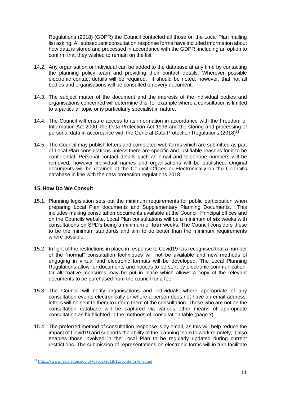Regulations (2018) (GDPR) the Council contacted all those on the Local Plan mailing list asking. All subsequent consultation response forms have included information about how data is stored and processed in accordance with the GDPR, including an option to confirm that they wished to remain on the list

- 14.2. Any organisation or individual can be added to the database at any time by contacting the planning policy team and providing their contact details. Wherever possible electronic contact details will be required. It should be noted, however, that not all bodies and organisations will be consulted on every document.
- 14.3. The subject matter of the document and the interests of the individual bodies and organisations concerned will determine this, for example where a consultation is limited to a particular topic or is particularly specialist in nature.
- 14.4. The Council will ensure access to its information in accordance with the Freedom of Information Act 2000, the Data Protection Act 1998 and the storing and processing of personal data in accordance with the General Data Protection Regulations (2018)<sup>13</sup>
- 14.5. The Council may publish letters and completed web forms which are submitted as part of Local Plan consultations unless there are specific and justifiable reasons for it to be confidential. Personal contact details such as email and telephone numbers will be removed, however individual names and organisations will be published. Original documents will be retained at the Council Offices or Electronically on the Council's database in line with the data protection regulations 2018.

### <span id="page-15-0"></span>**15.How Do We Consult**

- 15.1. Planning legislation sets out the minimum requirements for public participation when preparing Local Plan documents and Supplementary Planning Documents. This includes making consultation documents available at the Council' Principal offices and on the Councils website. Local Plan consultations will be a minimum of **six** weeks with consultations on SPD's being a minimum of **four** weeks. The Council considers these to be the minimum standards and aim to do better than the minimum requirements where possible.
- 15.2. In light of the restrictions in place in response to Covid19 it is recognised that a number of the "normal" consultation techniques will not be available and new methods of engaging in virtual and electronic formats will be developed. The Local Planning Regulations allow for documents and notices to be sent by electronic communication. Or alternative measures may be put in place which allows a copy of the relevant documents to be purchased from the council for a fee.
- 15.3. The Council will notify organisations and individuals where appropriate of any consultation events electronically or where a person does not have an email address, letters will be sent to them to inform them of the consultation. Those who are not on the consultation database will be captured via various other means of appropriate consultation as highlighted in the methods of consultation table (page x).
- 15.4. The preferred method of consultation response is by email, as this will help reduce the impact of Covid19 and supports the ability of the planning team to work remotely, it also enables those involved in the Local Plan to be regularly updated during current restrictions. The submission of representations on electronic forms will in turn facilitate

<sup>13</sup> <https://www.legislation.gov.uk/ukpga/2018/12/contents/enacted>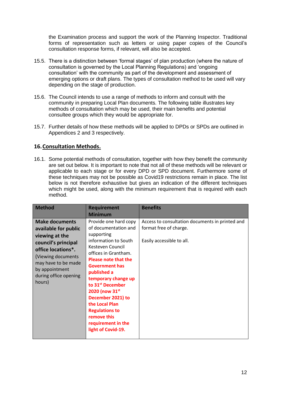the Examination process and support the work of the Planning Inspector. Traditional forms of representation such as letters or using paper copies of the Council's consultation response forms, if relevant, will also be accepted.

- 15.5. There is a distinction between 'formal stages' of plan production (where the nature of consultation is governed by the Local Planning Regulations) and 'ongoing consultation' with the community as part of the development and assessment of emerging options or draft plans. The types of consultation method to be used will vary depending on the stage of production.
- 15.6. The Council intends to use a range of methods to inform and consult with the community in preparing Local Plan documents. The following table illustrates key methods of consultation which may be used, their main benefits and potential consultee groups which they would be appropriate for.
- 15.7. Further details of how these methods will be applied to DPDs or SPDs are outlined in Appendices 2 and 3 respectively.

# <span id="page-16-0"></span>**16.Consultation Methods.**

16.1. Some potential methods of consultation, together with how they benefit the community are set out below. It is important to note that not all of these methods will be relevant or applicable to each stage or for every DPD or SPD document. Furthermore some of these techniques may not be possible as Covid19 restrictions remain in place. The list below is not therefore exhaustive but gives an indication of the different techniques which might be used, along with the minimum requirement that is required with each method.

| <b>Method</b>                                                                                                                                                                                                   | <b>Requirement</b><br><b>Minimum</b>                                                                                                                                                                                                                                                                                                                                                                       | <b>Benefits</b>                                                                                        |
|-----------------------------------------------------------------------------------------------------------------------------------------------------------------------------------------------------------------|------------------------------------------------------------------------------------------------------------------------------------------------------------------------------------------------------------------------------------------------------------------------------------------------------------------------------------------------------------------------------------------------------------|--------------------------------------------------------------------------------------------------------|
| <b>Make documents</b><br>available for public<br>viewing at the<br>council's principal<br>office locations*.<br>(Viewing documents)<br>may have to be made<br>by appointment<br>during office opening<br>hours) | Provide one hard copy<br>of documentation and<br>supporting<br>information to South<br>Kesteven Council<br>offices in Grantham.<br><b>Please note that the</b><br><b>Government has</b><br>published a<br>temporary change up<br>to 31 <sup>st</sup> December<br>2020 (now 31st<br>December 2021) to<br>the Local Plan<br><b>Regulations to</b><br>remove this<br>requirement in the<br>light of Covid-19. | Access to consultation documents in printed and<br>format free of charge.<br>Easily accessible to all. |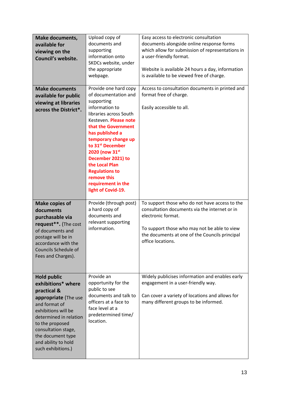| <b>Make documents,</b><br>available for<br>viewing on the<br>Council's website.                                                                                                                                                                               | Upload copy of<br>documents and<br>supporting<br>information onto<br>SKDCs website, under<br>the appropriate<br>webpage.                                                                                                                                                                                                                                                       | Easy access to electronic consultation<br>documents alongside online response forms<br>which allow for submission of representations in<br>a user-friendly format.<br>Website is available 24 hours a day, information<br>is available to be viewed free of charge. |
|---------------------------------------------------------------------------------------------------------------------------------------------------------------------------------------------------------------------------------------------------------------|--------------------------------------------------------------------------------------------------------------------------------------------------------------------------------------------------------------------------------------------------------------------------------------------------------------------------------------------------------------------------------|---------------------------------------------------------------------------------------------------------------------------------------------------------------------------------------------------------------------------------------------------------------------|
| <b>Make documents</b><br>available for public<br>viewing at libraries<br>across the District*.                                                                                                                                                                | Provide one hard copy<br>of documentation and<br>supporting<br>information to<br>libraries across South<br>Kesteven. Please note<br>that the Government<br>has published a<br>temporary change up<br>to 31 <sup>st</sup> December<br>2020 (now 31st<br>December 2021) to<br>the Local Plan<br><b>Regulations to</b><br>remove this<br>requirement in the<br>light of Covid-19. | Access to consultation documents in printed and<br>format free of charge.<br>Easily accessible to all.                                                                                                                                                              |
| <b>Make copies of</b><br>documents<br>purchasable via<br>request**. (The cost<br>of documents and<br>postage will be in<br>accordance with the<br><b>Councils Schedule of</b><br>Fees and Charges).                                                           | Provide (through post)<br>a hard copy of<br>documents and<br>relevant supporting<br>information.                                                                                                                                                                                                                                                                               | To support those who do not have access to the<br>consultation documents via the internet or in<br>electronic format.<br>To support those who may not be able to view<br>the documents at one of the Councils principal<br>office locations.                        |
| <b>Hold public</b><br>exhibitions* where<br>practical &<br>appropriate (The use<br>and format of<br>exhibitions will be<br>determined in relation<br>to the proposed<br>consultation stage,<br>the document type<br>and ability to hold<br>such exhibitions.) | Provide an<br>opportunity for the<br>public to see<br>documents and talk to<br>officers at a face to<br>face level at a<br>predetermined time/<br>location.                                                                                                                                                                                                                    | Widely publicises information and enables early<br>engagement in a user-friendly way.<br>Can cover a variety of locations and allows for<br>many different groups to be informed.                                                                                   |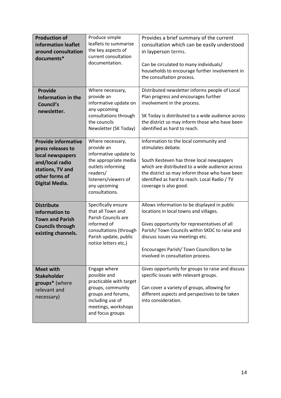| <b>Production of</b><br>information leaflet<br>around consultation<br>documents*                                                               | Produce simple<br>leaflets to summarise<br>the key aspects of<br>current consultation<br>documentation.                                                                     | Provides a brief summary of the current<br>consultation which can be easily understood<br>in layperson terms.<br>Can be circulated to many individuals/<br>households to encourage further involvement in<br>the consultation process.                                                                        |
|------------------------------------------------------------------------------------------------------------------------------------------------|-----------------------------------------------------------------------------------------------------------------------------------------------------------------------------|---------------------------------------------------------------------------------------------------------------------------------------------------------------------------------------------------------------------------------------------------------------------------------------------------------------|
| <b>Provide</b><br>Information in the<br>Council's<br>newsletter.                                                                               | Where necessary,<br>provide an<br>informative update on<br>any upcoming<br>consultations through<br>the councils<br>Newsletter (SK Today)                                   | Distributed newsletter informs people of Local<br>Plan progress and encourages further<br>involvement in the process.<br>SK Today is distributed to a wide audience across<br>the district so may inform those who have been<br>identified as hard to reach.                                                  |
| <b>Provide informative</b><br>press releases to<br>local newspapers<br>and/local radio<br>stations, TV and<br>other forms of<br>Digital Media. | Where necessary,<br>provide an<br>informative update to<br>the appropriate media<br>outlets informing<br>readers/<br>listeners/viewers of<br>any upcoming<br>consultations. | Information to the local community and<br>stimulates debate.<br>South Kesteven has three local newspapers<br>which are distributed to a wide audience across<br>the district so may inform those who have been<br>identified as hard to reach. Local Radio / TV<br>coverage is also good.                     |
| <b>Distribute</b><br>information to<br><b>Town and Parish</b><br><b>Councils through</b><br>existing channels.                                 | Specifically ensure<br>that all Town and<br>Parish Councils are<br>informed of<br>consultations (through<br>Parish update, public<br>notice letters etc.)                   | Allows information to be displayed in public<br>locations in local towns and villages.<br>Gives opportunity for representatives of all<br>Parish/Town Councils within SKDC to raise and<br>discuss issues via meetings etc.<br>Encourages Parish/ Town Councillors to be<br>involved in consultation process. |
| <b>Meet with</b><br><b>Stakeholder</b><br>groups* (where<br>relevant and<br>necessary)                                                         | Engage where<br>possible and<br>practicable with target<br>groups, community<br>groups and forums,<br>including use of<br>meetings, workshops<br>and focus groups           | Gives opportunity for groups to raise and discuss<br>specific issues with relevant groups.<br>Can cover a variety of groups, allowing for<br>different aspects and perspectives to be taken<br>into consideration.                                                                                            |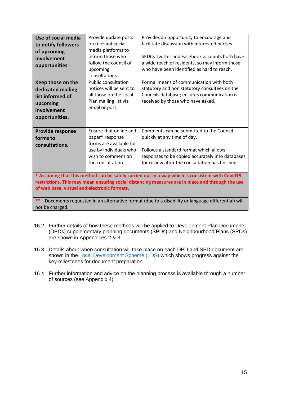| Use of social media<br>to notify followers<br>of upcoming<br>involvement<br>opportunities                                                                                                                                                           | Provide update posts<br>on relevant social<br>media platforms to<br>inform those who<br>follow the council of<br>upcoming<br>consultations<br><b>Public consultation</b> | Provides an opportunity to encourage and<br>facilitate discussion with interested parties<br>SKDCs Twitter and Facebook accounts both have<br>a wide reach of residents, so may inform those<br>who have been identified as hard to reach.<br>Formal means of communication with both |  |  |
|-----------------------------------------------------------------------------------------------------------------------------------------------------------------------------------------------------------------------------------------------------|--------------------------------------------------------------------------------------------------------------------------------------------------------------------------|---------------------------------------------------------------------------------------------------------------------------------------------------------------------------------------------------------------------------------------------------------------------------------------|--|--|
| Keep those on the<br>dedicated mailing<br>list informed of<br>upcoming<br>involvement<br>opportunities.                                                                                                                                             | notices will be sent to<br>all those on the Local<br>Plan mailing list via<br>email or post.                                                                             | statutory and non statutory consultees on the<br>Councils database; ensures communication is<br>received by those who have asked.                                                                                                                                                     |  |  |
| <b>Provide response</b><br>forms to<br>consultations.                                                                                                                                                                                               | Ensure that online and<br>paper* response<br>forms are available for<br>use by individuals who<br>wish to comment on<br>the consultation.                                | Comments can be submitted to the Council<br>quickly at any time of day.<br>Follows a standard format which allows<br>responses to be copied accurately into databases<br>for review after the consultation has finished.                                                              |  |  |
| * Assuming that this method can be safely carried out in a way which is consistent with Covid19<br>restrictions. This may mean ensuring social distancing measures are in place and through the use<br>of web base, virtual and electronic formats. |                                                                                                                                                                          |                                                                                                                                                                                                                                                                                       |  |  |

**\*\****.* Documents requested in an alternative format (due to a disability or language differential) will not be charged.

- 16.2. Further details of how these methods will be applied to Development Plan Documents (DPDs) supplementary planning documents (SPDs) and Neighbourhood Plans (SPDs) are shown in Appendices 2 & 3.
- 16.3. Details about when consultation will take place on each DPD and SPD document are shown in the [Local Development Scheme \(LDS\)](https://www.rutland.gov.uk/my-services/planning-and-building-control/planning/planning-policy/local-development-scheme/) which shows progress against the key milestones for document preparation
- 16.4. Further information and advice on the planning process is available through a number of sources (see Appendix 4).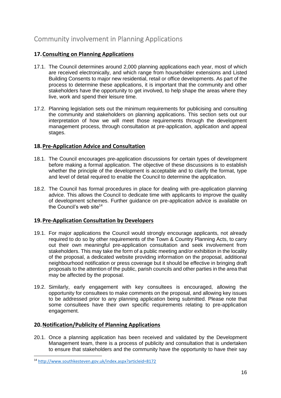# <span id="page-20-0"></span>Community involvement in Planning Applications

# <span id="page-20-1"></span>**17.Consulting on Planning Applications**

- 17.1. The Council determines around 2,000 planning applications each year, most of which are received electronically, and which range from householder extensions and Listed Building Consents to major new residential, retail or office developments. As part of the process to determine these applications, it is important that the community and other stakeholders have the opportunity to get involved, to help shape the areas where they live, work and spend their leisure time.
- 17.2. Planning legislation sets out the minimum requirements for publicising and consulting the community and stakeholders on planning applications. This section sets out our interpretation of how we will meet those requirements through the development management process, through consultation at pre-application, application and appeal stages.

# <span id="page-20-2"></span>**18.Pre-Application Advice and Consultation**

- 18.1. The Council encourages pre-application discussions for certain types of development before making a formal application. The objective of these discussions is to establish whether the principle of the development is acceptable and to clarify the format, type and level of detail required to enable the Council to determine the application.
- 18.2. The Council has formal procedures in place for dealing with pre-application planning advice. This allows the Council to dedicate time with applicants to improve the quality of development schemes. Further guidance on pre-application advice is available on the Council's web site $14$

### <span id="page-20-3"></span>**19.Pre-Application Consultation by Developers**

- 19.1. For major applications the Council would strongly encourage applicants, not already required to do so by other requirements of the Town & Country Planning Acts, to carry out their own meaningful pre-application consultation and seek involvement from stakeholders. This may take the form of a public meeting and/or exhibition in the locality of the proposal, a dedicated website providing information on the proposal, additional neighbourhood notification or press coverage but it should be effective in bringing draft proposals to the attention of the public, parish councils and other parties in the area that may be affected by the proposal.
- 19.2. Similarly, early engagement with key consultees is encouraged, allowing the opportunity for consultees to make comments on the proposal, and allowing key issues to be addressed prior to any planning application being submitted. Please note that some consultees have their own specific requirements relating to pre-application engagement.

### <span id="page-20-4"></span>**20.Notification/Publicity of Planning Applications**

20.1. Once a planning application has been received and validated by the Development Management team, there is a process of publicity and consultation that is undertaken to ensure that stakeholders and the community have the opportunity to have their say

<sup>14</sup> <http://www.southkesteven.gov.uk/index.aspx?articleid=8172>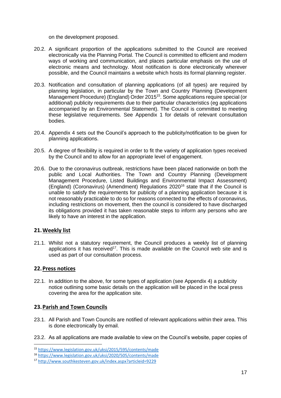on the development proposed.

- 20.2. A significant proportion of the applications submitted to the Council are received electronically via the Planning Portal. The Council is committed to efficient and modern ways of working and communication, and places particular emphasis on the use of electronic means and technology. Most notification is done electronically wherever possible, and the Council maintains a website which hosts its formal planning register.
- 20.3. Notification and consultation of planning applications (of all types) are required by planning legislation, in particular by the Town and Country Planning (Development Management Procedure) (England) Order 2015<sup>15</sup>. Some applications require special (or additional) publicity requirements due to their particular characteristics (eg applications accompanied by an Environmental Statement). The Council is committed to meeting these legislative requirements. See Appendix 1 for details of relevant consultation bodies.
- 20.4. Appendix 4 sets out the Council's approach to the publicity/notification to be given for planning applications.
- 20.5. A degree of flexibility is required in order to fit the variety of application types received by the Council and to allow for an appropriate level of engagement.
- 20.6. Due to the coronavirus outbreak, restrictions have been placed nationwide on both the public and Local Authorities. The Town and Country Planning (Development Management Procedure, Listed Buildings and Environmental Impact Assessment) (England) (Coronavirus) (Amendment) Regulations 2020<sup>16</sup> state that if the Council is unable to satisfy the requirements for publicity of a planning application because it is not reasonably practicable to do so for reasons connected to the effects of coronavirus, including restrictions on movement, then the council is considered to have discharged its obligations provided it has taken reasonable steps to inform any persons who are likely to have an interest in the application.

### <span id="page-21-0"></span>**21.Weekly list**

21.1. Whilst not a statutory requirement, the Council produces a weekly list of planning applications it has received<sup>17</sup>. This is made available on the Council web site and is used as part of our consultation process.

#### <span id="page-21-1"></span>**22.Press notices**

22.1. In addition to the above, for some types of application (see Appendix 4) a publicity notice outlining some basic details on the application will be placed in the local press covering the area for the application site.

#### <span id="page-21-2"></span>**23.Parish and Town Councils**

- 23.1. All Parish and Town Councils are notified of relevant applications within their area. This is done electronically by email.
- 23.2. As all applications are made available to view on the Council's website, paper copies of

<sup>15</sup> <https://www.legislation.gov.uk/uksi/2015/595/contents/made>

<sup>16</sup> <https://www.legislation.gov.uk/uksi/2020/505/contents/made>

<sup>17</sup> <http://www.southkesteven.gov.uk/index.aspx?articleid=9229>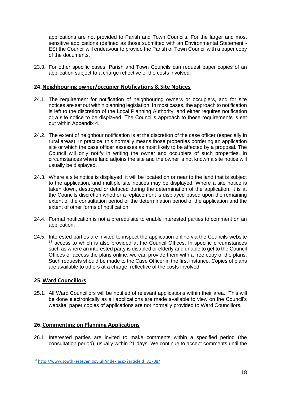applications are not provided to Parish and Town Councils. For the larger and most sensitive applications (defined as those submitted with an Environmental Statement - ES) the Council will endeavour to provide the Parish or Town Council with a paper copy of the documents.

23.3. For other specific cases, Parish and Town Councils can request paper copies of an application subject to a charge reflective of the costs involved.

### <span id="page-22-0"></span>**24.Neighbouring owner/occupier Notifications & Site Notices**

- 24.1. The requirement for notification of neighbouring owners or occupiers, and for site notices are set out within planning legislation. In most cases, the approach to notification is left to the discretion of the Local Planning Authority, and either requires notification or a site notice to be displayed. The Council's approach to these requirements is set out within Appendix 4.
- 24.2. The extent of neighbour notification is at the discretion of the case officer (especially in rural areas). In practice, this normally means those properties bordering an application site or which the case officer assesses as most likely to be affected by a proposal. The Council will only notify in writing the owner and occupiers of such properties. In circumstances where land adjoins the site and the owner is not known a site notice will usually be displayed.
- 24.3. Where a site notice is displayed, it will be located on or near to the land that is subject to the application, and multiple site notices may be displayed. Where a site notice is taken down, destroyed or defaced during the determination of the application; it is at the Councils discretion whether a replacement is displayed based upon the remaining extent of the consultation period or the determination period of the application and the extent of other forms of notification.
- 24.4. Formal notification is not a prerequisite to enable interested parties to comment on an application.
- 24.5. Interested parties are invited to inspect the application online via the Councils website <sup>18</sup> access to which is also provided at the Council Offices. In specific circumstances such as where an interested party is disabled or elderly and unable to get to the Council Offices or access the plans online, we can provide them with a free copy of the plans. Such requests should be made to the Case Officer in the first instance. Copies of plans are available to others at a charge, reflective of the costs involved.

### <span id="page-22-1"></span>**25.Ward Councillors**

25.1. All Ward Councillors will be notified of relevant applications within their area. This will be done electronically as all applications are made available to view on the Council's website, paper copies of applications are not normally provided to Ward Councillors.

### <span id="page-22-2"></span>**26.Commenting on Planning Applications**

26.1. Interested parties are invited to make comments within a specified period (the consultation period), usually within 21 days. We continue to accept comments until the

<sup>18</sup> <http://www.southkesteven.gov.uk/index.aspx?articleid=8170#/>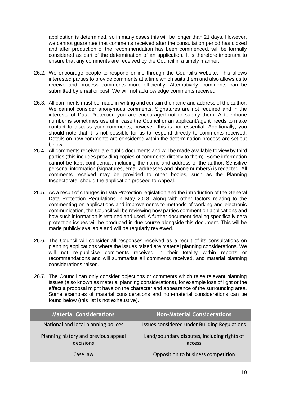application is determined, so in many cases this will be longer than 21 days. However, we cannot guarantee that comments received after the consultation period has closed and after production of the recommendation has been commenced, will be formally considered as part of the determination of an application. It is therefore important to ensure that any comments are received by the Council in a timely manner.

- 26.2. We encourage people to respond online through the Council's website. This allows interested parties to provide comments at a time which suits them and also allows us to receive and process comments more efficiently. Alternatively, comments can be submitted by email or post. We will not acknowledge comments received.
- 26.3. All comments must be made in writing and contain the name and address of the author. We cannot consider anonymous comments. Signatures are not required and in the interests of Data Protection you are encouraged not to supply them. A telephone number is sometimes useful in case the Council or an applicant/agent needs to make contact to discuss your comments, however, this is not essential. Additionally, you should note that it is not possible for us to respond directly to comments received. Details on how comments are considered within the determination process are set out below.
- 26.4. All comments received are public documents and will be made available to view by third parties (this includes providing copies of comments directly to them). Some information cannot be kept confidential, including the name and address of the author. Sensitive personal information (signatures, email addresses and phone numbers) is redacted. All comments received may be provided to other bodies, such as the Planning Inspectorate, should the application proceed to Appeal.
- 26.5. As a result of changes in Data Protection legislation and the introduction of the General Data Protection Regulations in May 2018, along with other factors relating to the commenting on applications and improvements to methods of working and electronic communication, the Council will be reviewing how parties comment on applications and how such information is retained and used. A further document dealing specifically data protection issues will be produced in due course alongside this document. This will be made publicly available and will be regularly reviewed.
- 26.6. The Council will consider all responses received as a result of its consultations on planning applications where the issues raised are material planning considerations. We will not re-publicise comments received in their totality within reports or recommendations and will summarise all comments received, and material planning considerations raised.
- 26.7. The Council can only consider objections or comments which raise relevant planning issues (also known as material planning considerations), for example loss of light or the effect a proposal might have on the character and appearance of the surrounding area. Some examples of material considerations and non-material considerations can be found below (this list is not exhaustive).

| <b>Material Considerations</b>                    | <b>Non-Material Considerations</b>                    |
|---------------------------------------------------|-------------------------------------------------------|
| National and local planning polices               | Issues considered under Building Regulations          |
| Planning history and previous appeal<br>decisions | Land/boundary disputes, including rights of<br>access |
| Case law                                          | Opposition to business competition                    |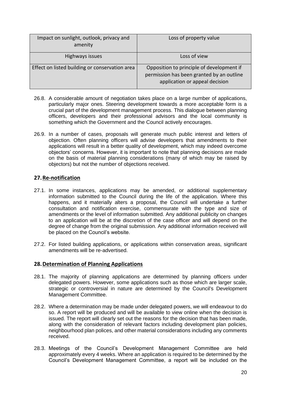| Impact on sunlight, outlook, privacy and<br>amenity | Loss of property value                                                                                                   |
|-----------------------------------------------------|--------------------------------------------------------------------------------------------------------------------------|
| Highways issues                                     | Loss of view                                                                                                             |
| Effect on listed building or conservation area      | Opposition to principle of development if<br>permission has been granted by an outline<br>application or appeal decision |

- 26.8. A considerable amount of negotiation takes place on a large number of applications, particularly major ones. Steering development towards a more acceptable form is a crucial part of the development management process. This dialogue between planning officers, developers and their professional advisors and the local community is something which the Government and the Council actively encourages.
- 26.9. In a number of cases, proposals will generate much public interest and letters of objection. Often planning officers will advise developers that amendments to their applications will result in a better quality of development, which may indeed overcome objectors' concerns. However, it is important to note that planning decisions are made on the basis of material planning considerations (many of which may be raised by objectors) but not the number of objections received.

# <span id="page-24-0"></span>**27.Re-notification**

- 27.1. In some instances, applications may be amended, or additional supplementary information submitted to the Council during the life of the application. Where this happens, and it materially alters a proposal, the Council will undertake a further consultation and notification exercise, commensurate with the type and size of amendments or the level of information submitted. Any additional publicity on changes to an application will be at the discretion of the case officer and will depend on the degree of change from the original submission. Any additional information received will be placed on the Council's website.
- 27.2. For listed building applications, or applications within conservation areas, significant amendments will be re-advertised.

### <span id="page-24-1"></span>**28.Determination of Planning Applications**

- 28.1. The majority of planning applications are determined by planning officers under delegated powers. However, some applications such as those which are larger scale, strategic or controversial in nature are determined by the Council's Development Management Committee.
- 28.2. Where a determination may be made under delegated powers, we will endeavour to do so. A report will be produced and will be available to view online when the decision is issued. The report will clearly set out the reasons for the decision that has been made, along with the consideration of relevant factors including development plan policies, neighbourhood plan polices, and other material considerations including any comments received.
- 28.3. Meetings of the Council's Development Management Committee are held approximately every 4 weeks. Where an application is required to be determined by the Council's Development Management Committee, a report will be included on the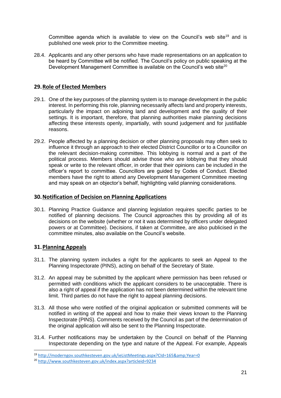Committee agenda which is available to view on the Council's web site<sup>19</sup> and is published one week prior to the Committee meeting.

28.4. Applicants and any other persons who have made representations on an application to be heard by Committee will be notified. The Council's policy on public speaking at the Development Management Committee is available on the Council's web site<sup>20</sup>

# <span id="page-25-0"></span>**29.Role of Elected Members**

- 29.1. One of the key purposes of the planning system is to manage development in the public interest. In performing this role, planning necessarily affects land and property interests, particularly the impact on adjoining land and development and the quality of their settings. It is important, therefore, that planning authorities make planning decisions affecting these interests openly, impartially, with sound judgement and for justifiable reasons.
- 29.2. People affected by a planning decision or other planning proposals may often seek to influence it through an approach to their elected District Councillor or to a Councillor on the relevant decision-making committee. This lobbying is normal and a part of the political process. Members should advise those who are lobbying that they should speak or write to the relevant officer, in order that their opinions can be included in the officer's report to committee. Councillors are guided by Codes of Conduct. Elected members have the right to attend any Development Management Committee meeting and may speak on an objector's behalf, highlighting valid planning considerations.

### <span id="page-25-1"></span>**30.Notification of Decision on Planning Applications**

30.1. Planning Practice Guidance and planning legislation requires specific parties to be notified of planning decisions. The Council approaches this by providing all of its decisions on the website (whether or not it was determined by officers under delegated powers or at Committee). Decisions, if taken at Committee, are also publicised in the committee minutes, also available on the Council's website.

### <span id="page-25-2"></span>**31.Planning Appeals**

- 31.1. The planning system includes a right for the applicants to seek an Appeal to the Planning Inspectorate (PINS), acting on behalf of the Secretary of State.
- 31.2. An appeal may be submitted by the applicant where permission has been refused or permitted with conditions which the applicant considers to be unacceptable. There is also a right of appeal if the application has not been determined within the relevant time limit. Third parties do not have the right to appeal planning decisions.
- 31.3. All those who were notified of the original application or submitted comments will be notified in writing of the appeal and how to make their views known to the Planning Inspectorate (PINS). Comments received by the Council as part of the determination of the original application will also be sent to the Planning Inspectorate.
- 31.4. Further notifications may be undertaken by the Council on behalf of the Planning Inspectorate depending on the type and nature of the Appeal. For example, Appeals

<sup>&</sup>lt;sup>19</sup> http://moderngov.southkesteven.gov.uk/ieListMeetings.aspx?CId=165&amp;Year=0

<sup>20</sup> <http://www.southkesteven.gov.uk/index.aspx?articleid=9234>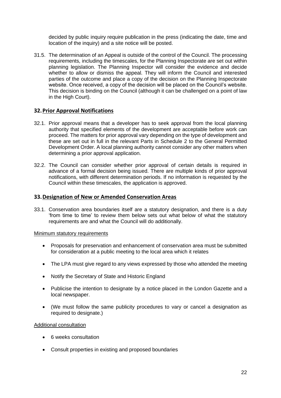decided by public inquiry require publication in the press (indicating the date, time and location of the inquiry) and a site notice will be posted.

31.5. The determination of an Appeal is outside of the control of the Council. The processing requirements, including the timescales, for the Planning Inspectorate are set out within planning legislation. The Planning Inspector will consider the evidence and decide whether to allow or dismiss the appeal. They will inform the Council and interested parties of the outcome and place a copy of the decision on the Planning Inspectorate website. Once received, a copy of the decision will be placed on the Council's website. This decision is binding on the Council (although it can be challenged on a point of law in the High Court).

#### <span id="page-26-0"></span>**32.Prior Approval Notifications**

- 32.1. Prior approval means that a developer has to seek approval from the local planning authority that specified elements of the development are acceptable before work can proceed. The matters for prior approval vary depending on the type of development and these are set out in full in the relevant Parts in Schedule 2 to the General Permitted Development Order. A local planning authority cannot consider any other matters when determining a prior approval application.
- 32.2. The Council can consider whether prior approval of certain details is required in advance of a formal decision being issued. There are multiple kinds of prior approval notifications, with different determination periods. If no information is requested by the Council within these timescales, the application is approved.

#### <span id="page-26-1"></span>**33.Designation of New or Amended Conservation Areas**

33.1. Conservation area boundaries itself are a statutory designation, and there is a duty 'from time to time' to review them below sets out what below of what the statutory requirements are and what the Council will do additionally.

#### Minimum statutory requirements

- Proposals for preservation and enhancement of conservation area must be submitted for consideration at a public meeting to the local area which it relates
- The LPA must give regard to any views expressed by those who attended the meeting
- Notify the Secretary of State and Historic England
- Publicise the intention to designate by a notice placed in the London Gazette and a local newspaper.
- (We must follow the same publicity procedures to vary or cancel a designation as required to designate.)

#### Additional consultation

- 6 weeks consultation
- Consult properties in existing and proposed boundaries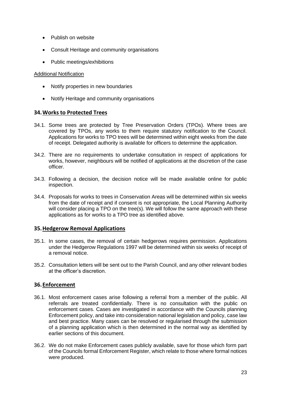- Publish on website
- Consult Heritage and community organisations
- Public meetings/exhibitions

#### Additional Notification

- Notify properties in new boundaries
- Notify Heritage and community organisations

#### <span id="page-27-0"></span>**34.Works to Protected Trees**

- 34.1. Some trees are protected by Tree Preservation Orders (TPOs). Where trees are covered by TPOs, any works to them require statutory notification to the Council. Applications for works to TPO trees will be determined within eight weeks from the date of receipt. Delegated authority is available for officers to determine the application.
- 34.2. There are no requirements to undertake consultation in respect of applications for works, however, neighbours will be notified of applications at the discretion of the case officer.
- 34.3. Following a decision, the decision notice will be made available online for public inspection.
- 34.4. Proposals for works to trees in Conservation Areas will be determined within six weeks from the date of receipt and if consent is not appropriate, the Local Planning Authority will consider placing a TPO on the tree(s). We will follow the same approach with these applications as for works to a TPO tree as identified above.

#### <span id="page-27-1"></span>**35.Hedgerow Removal Applications**

- 35.1. In some cases, the removal of certain hedgerows requires permission. Applications under the Hedgerow Regulations 1997 will be determined within six weeks of receipt of a removal notice.
- 35.2. Consultation letters will be sent out to the Parish Council, and any other relevant bodies at the officer's discretion.

### <span id="page-27-2"></span>**36.Enforcement**

- 36.1. Most enforcement cases arise following a referral from a member of the public. All referrals are treated confidentially. There is no consultation with the public on enforcement cases. Cases are investigated in accordance with the Councils planning Enforcement policy, and take into consideration national legislation and policy, case law and best practice. Many cases can be resolved or regularised through the submission of a planning application which is then determined in the normal way as identified by earlier sections of this document.
- 36.2. We do not make Enforcement cases publicly available, save for those which form part of the Councils formal Enforcement Register, which relate to those where formal notices were produced.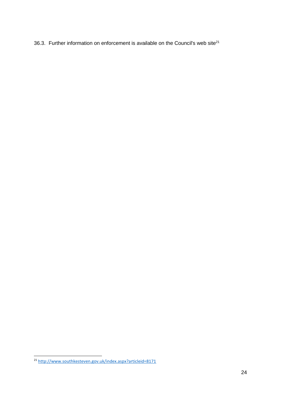36.3. Further information on enforcement is available on the Council's web site $^{21}$ 

<http://www.southkesteven.gov.uk/index.aspx?articleid=8171>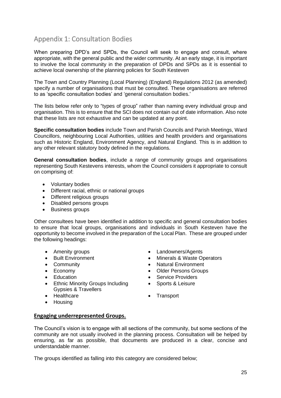# <span id="page-29-0"></span>Appendix 1: Consultation Bodies

When preparing DPD's and SPDs, the Council will seek to engage and consult, where appropriate, with the general public and the wider community. At an early stage, it is important to involve the local community in the preparation of DPDs and SPDs as it is essential to achieve local ownership of the planning policies for South Kesteven

The Town and Country Planning (Local Planning) (England) Regulations 2012 (as amended) specify a number of organisations that must be consulted. These organisations are referred to as 'specific consultation bodies' and 'general consultation bodies.'

The lists below refer only to "types of group" rather than naming every individual group and organisation. This is to ensure that the SCI does not contain out of date information. Also note that these lists are not exhaustive and can be updated at any point.

**Specific consultation bodies** include Town and Parish Councils and Parish Meetings, Ward Councillors, neighbouring Local Authorities, utilities and health providers and organisations such as Historic England, Environment Agency, and Natural England. This is in addition to any other relevant statutory body defined in the regulations.

**General consultation bodies**, include a range of community groups and organisations representing South Kestevens interests, whom the Council considers it appropriate to consult on comprising of:

- Voluntary bodies
- Different racial, ethnic or national groups
- Different religious groups
- Disabled persons groups
- Business groups

Other consultees have been identified in addition to specific and general consultation bodies to ensure that local groups, organisations and individuals in South Kesteven have the opportunity to become involved in the preparation of the Local Plan. These are grouped under the following headings:

- 
- 
- 
- 
- 
- Ethnic Minority Groups Including Gypsies & Travellers
- Healthcare Transport
- Housing
- Amenity groups Landowners/Agents
- Built Environment Community Minerals & Waste Operators
- Community  **Community** Natural Environment
- Economy Older Persons Groups
- Education Service Providers
	- Sports & Leisure
	-
- <span id="page-29-1"></span>**Engaging underrepresented Groups.**

The Council's vision is to engage with all sections of the community, but some sections of the community are not usually involved in the planning process. Consultation will be helped by ensuring, as far as possible, that documents are produced in a clear, concise and understandable manner.

The groups identified as falling into this category are considered below;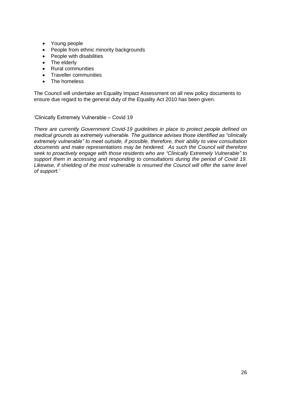- Young people
- People from ethnic minority backgrounds
- People with disabilities
- The elderly
- Rural communities
- Traveller communities
- The homeless

The Council will undertake an Equality Impact Assessment on all new policy documents to ensure due regard to the general duty of the Equality Act 2010 has been given.

'Clinically Extremely Vulnerable – Covid 19

*There are currently Government Covid-19 guidelines in place to protect people defined on medical grounds as extremely vulnerable. The guidance advises those identified as "clinically extremely vulnerable" to meet outside, if possible, therefore, their ability to view consultation documents and make representations may be hindered. As such the Council will therefore seek to proactively engage with those residents who are "Clinically Extremely Vulnerable" to support them in accessing and responding to consultations during the period of Covid 19. Likewise, if shielding of the most vulnerable is resumed the Council will offer the same level of support.'*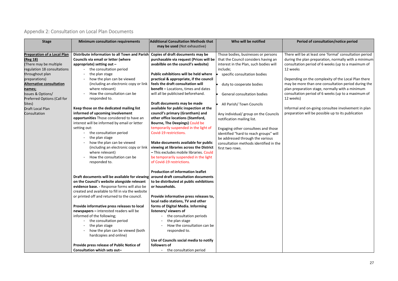# <span id="page-31-0"></span>Appendix 2: Consultation on Local Plan Documents

# **Who will be notified Period of consultation/notice period**

I be at least one 'formal' consultation period plan preparation, normally with a minimum ion period of 6 weeks (up to a maximum of

g on the complexity of the Local Plan there ore than one consultation period during the aration stage, normally with a minimum on period of 6 weeks (up to a maximum of

and on-going consultee involvement in plan on will be possible up to its publication

| <b>Stage</b>                       | <b>Minimum consultation requirements</b>         | <b>Additional Consultation Methods that</b> | Who will be notified                   | Per          |
|------------------------------------|--------------------------------------------------|---------------------------------------------|----------------------------------------|--------------|
|                                    |                                                  | may be used (Not exhaustive)                |                                        |              |
| <b>Preparation of a Local Plan</b> | Distribute information to all Town and Parish    | Copies of draft documents may be            | Those bodies, businesses or persons    | There will I |
| (Reg 18)                           | Councils via email or letter (where              | purchasable via request (Prices will be     | that the Council considers having an   | during the   |
| There may be multiple              | appropriate) setting out -                       | avabilble on the council's website)         | interest in the Plan, such bodies will | consultatic  |
| regulation 18 consultations        | the consultation period                          |                                             | include;                               | 12 weeks     |
| throughout plan                    | the plan stage                                   | Public exhibitions will be held where       | specific consultation bodies           |              |
| preparations)                      | how the plan can be viewed                       | practical & appropriate, if the council     |                                        | Depending    |
| <b>Alternative consultation</b>    | (including an electronic copy or link            | feels the draft consultation will           | duty to cooperate bodies               | may be mo    |
| names;                             | where relevant)                                  | <b>benefit - Locations, times and dates</b> |                                        | plan prepa   |
| <b>Issues &amp; Options/</b>       | How the consultation can be                      | will all be publicised beforehand.          | <b>General consultation bodies</b>     | consultatic  |
| Preferred Options (Call for        | responded to.                                    |                                             |                                        | 12 weeks)    |
| Sites)                             |                                                  | Draft documents may be made                 | All Parish/ Town Councils              |              |
| <b>Draft Local Plan</b>            | Keep those on the dedicated mailing list         | available for public inspection at the      |                                        | Informal ar  |
| Consultation                       | informed of upcoming involvement                 | council's primary (Grantham) and            | Any individual/ group on the Councils  | preparatio   |
|                                    | opportunities Those considered to have an        | other office locations (Stamford,           | notification mailing list.             |              |
|                                    | interest will be informed by email or letter     | Bourne, The Deepings) Could be              |                                        |              |
|                                    | setting out:                                     | temporarily suspended in the light of       | Engaging other consultees and those    |              |
|                                    | the consultation period                          | Covid-19 restrictions.                      | identified "hard to reach groups" will |              |
|                                    | the plan stage                                   |                                             | be addressed through the various       |              |
|                                    | how the plan can be viewed                       | Make documents available for public         | consultation methods identified in the |              |
|                                    | (including an electronic copy or link            | viewing at libraries across the District    | first two rows.                        |              |
|                                    | where relevant)                                  | - This excludes mobile libraries. Could     |                                        |              |
|                                    | How the consultation can be                      | be temporarily suspended in the light       |                                        |              |
|                                    | responded to.                                    | of Covid-19 restrictions.                   |                                        |              |
|                                    |                                                  | <b>Production of information leaflet</b>    |                                        |              |
|                                    | Draft documents will be available for viewing    | around draft consultation documents         |                                        |              |
|                                    | on the Council's website alongside relevant      | to be distributed at public exhibitions     |                                        |              |
|                                    | evidence base. - Response forms will also be     | or households.                              |                                        |              |
|                                    | created and available to fill in via the website |                                             |                                        |              |
|                                    | or printed off and returned to the council.      | Provide informative press releases to,      |                                        |              |
|                                    |                                                  | local radio stations, TV and other          |                                        |              |
|                                    | Provide informative press releases to local      | forms of Digital Media. Informing           |                                        |              |
|                                    | newspapers - interested readers will be          | listeners/viewers of                        |                                        |              |
|                                    | informed of the following;                       | the consultation periods<br>$\sim$          |                                        |              |
|                                    | the consultation period                          | the plan stage                              |                                        |              |
|                                    | the plan stage                                   | How the consultation can be                 |                                        |              |
|                                    | how the plan can be viewed (both                 | responded to.                               |                                        |              |
|                                    | hardcopies and online)                           |                                             |                                        |              |
|                                    |                                                  | Use of Councils social media to notify      |                                        |              |
|                                    | Provide press release of Public Notice of        | followers of                                |                                        |              |
|                                    | Consultation which sets out-                     | the consultation period                     |                                        |              |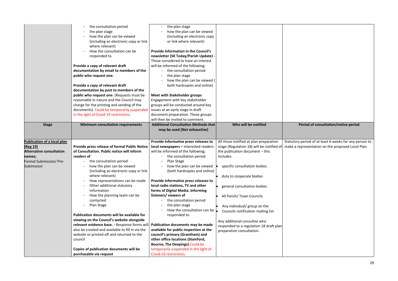|                                 | the consultation period                                                              | the plan stage                                                          |                                           |           |
|---------------------------------|--------------------------------------------------------------------------------------|-------------------------------------------------------------------------|-------------------------------------------|-----------|
|                                 | the plan stage                                                                       | how the plan can be viewed                                              |                                           |           |
|                                 | how the plan can be viewed                                                           | (including an electronic copy                                           |                                           |           |
|                                 | (including an electronic copy or link<br>where relevant)                             | or link where relevant)                                                 |                                           |           |
|                                 | How the consultation can be                                                          | <b>Provide Information in the Council's</b>                             |                                           |           |
|                                 | responded to.                                                                        | newsletter (SK Today/Parish Update) -                                   |                                           |           |
|                                 |                                                                                      | Those considered to have an interest                                    |                                           |           |
|                                 | Provide a copy of relevant draft                                                     | will be informed of the following;                                      |                                           |           |
|                                 | documentation by email to members of the                                             | the consultation period                                                 |                                           |           |
|                                 | public who request one.                                                              | the plan stage                                                          |                                           |           |
|                                 |                                                                                      | how the plan can be viewed (                                            |                                           |           |
|                                 | Provide a copy of relevant draft                                                     | both hardcopies and online)                                             |                                           |           |
|                                 | documentation by post to members of the                                              |                                                                         |                                           |           |
|                                 | public who request one. (Requests must be                                            | <b>Meet with Stakeholder groups</b>                                     |                                           |           |
|                                 | reasonable in nature and the Council may                                             | Engagement with key stakeholder                                         |                                           |           |
|                                 | charge for the printing and sending of the                                           | groups will be conducted around key                                     |                                           |           |
|                                 | documents). Could be temporarily suspended<br>in the light of Covid-19 restrictions. | issues at an early stage in draft<br>document preparation. These groups |                                           |           |
|                                 |                                                                                      | will then be invited to comment.                                        |                                           |           |
| <b>Stage</b>                    | <b>Minimum consultation requirements</b>                                             | <b>Additional Consultation Methods that</b>                             | Who will be notified                      | P         |
|                                 |                                                                                      | may be used (Not exhaustive)                                            |                                           |           |
| Publication of a local plan     |                                                                                      | Provide informative press releases to                                   | All those notified at plan preparation    | Statutory |
| (Reg 19)                        | Provide press release of formal Public Notice                                        | local newspapers - interested readers                                   | stage (Regulation 18) will be notified of | make a re |
| <b>Alternative consultation</b> | of Consultation. Public notice will inform                                           | will be informed of the following;                                      | the publication document - this           |           |
| names;                          | readers of                                                                           | the consultation period                                                 | includes                                  |           |
| Formal Submission/ Pre-         | the consultation period                                                              | Plan Stage                                                              |                                           |           |
| Submission                      | how the plan can be viewed                                                           | how the plan can be viewed                                              | specific consultation bodies              |           |
|                                 | (including an electronic copy or link                                                | (both hardcopies and online)                                            |                                           |           |
|                                 | where relevant)                                                                      |                                                                         | duty to cooperate bodies                  |           |
|                                 | How representations can be made                                                      | Provide informative press releases to                                   |                                           |           |
|                                 | Other additional statutory                                                           | local radio stations, TV and other                                      | general consultation bodies               |           |
|                                 | information                                                                          | forms of Digital Media. Informing<br>listeners/viewers of               |                                           |           |
|                                 | How the planning team can be<br>contacted                                            | the consultation period                                                 | All Parish/ Town Councils                 |           |
|                                 | Plan Stage                                                                           | the plan stage                                                          |                                           |           |
|                                 |                                                                                      | How the consultation can be                                             | Any individual/ group on the              |           |
|                                 | Publication documents will be available for                                          | responded to.                                                           | Councils notification mailing list        |           |
|                                 | viewing on the Council's website alongside                                           |                                                                         | Any additional consultee who              |           |
|                                 | relevant evidence base. - Response forms will                                        | Publication documents may be made                                       | responded to a regulation 18 draft plan   |           |
|                                 | also be created and available to fill in via the                                     | available for public inspection at the                                  | preparation consultation.                 |           |
|                                 | website or printed off and returned to the                                           | council's primary (Grantham) and                                        |                                           |           |
|                                 | council                                                                              | other office locations (Stamford,                                       |                                           |           |
|                                 |                                                                                      | Bourne, The Deepings) Could be                                          |                                           |           |
|                                 | Copies of publication documents will be                                              | temporarily suspended in the light of                                   |                                           |           |
|                                 | purchasable via request                                                              | Covid-19 restrictions.                                                  |                                           |           |

# **Period of consultation/notice period**

# Statutory period of at least 6 weeks for any person to make a representation on the proposed Local Plan.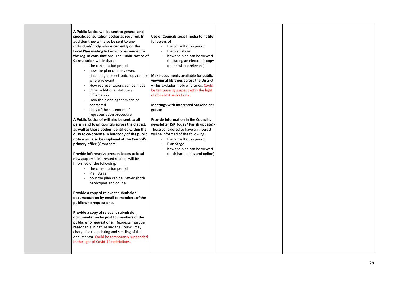29

**A Public Notice will be sent to general and specific consultation bodies as required. In addition they will also be sent to any individual/ body who is currently on the Local Plan mailing list or who responded to the reg 18 consultations. The Public Notice of Consultation will include;** 

- the consultation period
- how the plan can be viewed where relevant)
- How representations can be made
- Other additional statutory information
- How the planning team can be contacted
- copy of the statement of representation procedure

**A Public Notice of will also be sent to all parish and town councils across the district, as well as those bodies identified within the duty to co -operate. A hardcopy of the public notice will also be displayed at the Council's primary office** (Grantham)

**Provide informative press releases to local newspapers –** interested readers will be informed of the following;

- the consultation period
- Plan Stage
- how the plan can be viewed (both hardcopies and online

(including an electronic copy or link **Make documents available for public viewing at libraries across the District –** This excludes mobile libraries. Could be temporarily suspended in the light of Covid -19 restrictions.

**Provide a copy of relevant submission documentation by email to members of the public who request one.** 

**Provide a copy of relevant submission documentation by post to members of the public who request one**. (Requests must be reasonable in nature and the Council may charge for the printing and sending of the document s ). Could be temporarily suspended in the light of Covid -19 restrictions.

#### **Use of Councils social media to notify followers of**

- the consultation period
- the plan stage
- how the plan can be viewed (including an electronic copy or link where relevant)

**Meetings with interested Stakeholder groups**

**Provide Information in the Council's newsletter (SK Today/ Parish update) -** Those considered to have an interest will be informed of the following;

- the consultation period
- Plan Stage
- how the plan can be viewed (both hardcopies and online)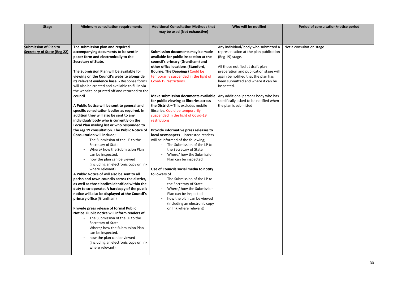| <b>Stage</b>                                                       | <b>Minimum consultation requirements</b>                                                                                                                                                                                                                                                                                                                                                                                                                                                                                                                                                                                                                                                                                                                                                                                                                                                                                                                                                                                                                                                                                                                                                                                                                                                                                                                                                                                                 | <b>Additional Consultation Methods that</b><br>may be used (Not exhaustive)                                                                                                                                                                                                                                                                                                                                                                                                                                                                                                                                                                                                                                                                                                                                                                                                                                                                                                                   | Who will be notified                                                                                                                                                                                                                                                                                                                                                                 | $\mathsf{P}$ |
|--------------------------------------------------------------------|------------------------------------------------------------------------------------------------------------------------------------------------------------------------------------------------------------------------------------------------------------------------------------------------------------------------------------------------------------------------------------------------------------------------------------------------------------------------------------------------------------------------------------------------------------------------------------------------------------------------------------------------------------------------------------------------------------------------------------------------------------------------------------------------------------------------------------------------------------------------------------------------------------------------------------------------------------------------------------------------------------------------------------------------------------------------------------------------------------------------------------------------------------------------------------------------------------------------------------------------------------------------------------------------------------------------------------------------------------------------------------------------------------------------------------------|-----------------------------------------------------------------------------------------------------------------------------------------------------------------------------------------------------------------------------------------------------------------------------------------------------------------------------------------------------------------------------------------------------------------------------------------------------------------------------------------------------------------------------------------------------------------------------------------------------------------------------------------------------------------------------------------------------------------------------------------------------------------------------------------------------------------------------------------------------------------------------------------------------------------------------------------------------------------------------------------------|--------------------------------------------------------------------------------------------------------------------------------------------------------------------------------------------------------------------------------------------------------------------------------------------------------------------------------------------------------------------------------------|--------------|
| <b>Submission of Plan to</b><br><b>Secretary of State (Reg 22)</b> | The submission plan and required<br>accompanying documents to be sent in<br>paper form and electronically to the<br><b>Secretary of State.</b><br>The Submission Plan will be available for<br>viewing on the Council's website alongside<br>its relevant evidence base. - Response forms<br>will also be created and available to fill in via<br>the website or printed off and returned to the<br>council<br>A Public Notice will be sent to general and<br>specific consultation bodies as required. In<br>addition they will also be sent to any<br>individual/ body who is currently on the<br>Local Plan mailing list or who responded to<br>the reg 19 consultation. The Public Notice of<br><b>Consultation will include;</b><br>The Submission of the LP to the<br>Secretary of State<br>Where/how the Submission Plan<br>can be inspected.<br>how the plan can be viewed<br>(including an electronic copy or link<br>where relevant)<br>A Public Notice of will also be sent to all<br>parish and town councils across the district,<br>as well as those bodies identified within the<br>duty to co-operate. A hardcopy of the public<br>notice will also be displayed at the Council's<br>primary office (Grantham)<br>Provide press release of formal Public<br>Notice. Public notice will inform readers of<br>The Submission of the LP to the<br>Secretary of State<br>Where/ how the Submission Plan<br>can be inspected. | Submission documents may be made<br>available for public inspection at the<br>council's primary (Grantham) and<br>other office locations (Stamford,<br><b>Bourne, The Deepings) Could be</b><br>temporarily suspended in the light of<br>Covid-19 restrictions.<br>Make submission documents available<br>for public viewing at libraries across<br>the District $-$ This excludes mobile<br>libraries. Could be temporarily<br>suspended in the light of Covid-19<br>restrictions.<br>Provide informative press releases to<br>local newspapers - interested readers<br>will be informed of the following;<br>The Submission of the LP to<br>the Secretary of State<br>Where/ how the Submission<br>Plan can be inspected<br>Use of Councils social media to notify<br>followers of<br>The Submission of the LP to<br>the Secretary of State<br>Where/ how the Submission<br>Plan can be inspected<br>how the plan can be viewed<br>(including an electronic copy<br>or link where relevant) | Any individual/ body who submitted a<br>representation at the plan publication<br>(Reg 19) stage.<br>All those notified at draft plan<br>preparation and publication stage will<br>again be notified that the plan has<br>been submitted and where it can be<br>inspected.<br>Any additional person/ body who has<br>specifically asked to be notified when<br>the plan is submitted | Not a cons   |
|                                                                    | how the plan can be viewed<br>(including an electronic copy or link<br>where relevant)                                                                                                                                                                                                                                                                                                                                                                                                                                                                                                                                                                                                                                                                                                                                                                                                                                                                                                                                                                                                                                                                                                                                                                                                                                                                                                                                                   |                                                                                                                                                                                                                                                                                                                                                                                                                                                                                                                                                                                                                                                                                                                                                                                                                                                                                                                                                                                               |                                                                                                                                                                                                                                                                                                                                                                                      |              |

# **Period of consultation/notice period**

sultation stage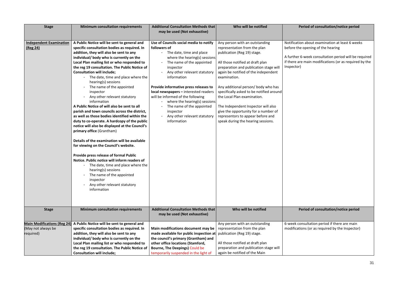| <b>Stage</b>                                                          | <b>Minimum consultation requirements</b>                                                                                                                                                                                                                                                                                                                                                                                                                                                                                                                                                                                                                                                                                                                                                                                                                                                                                                                                                                                                                                                               | <b>Additional Consultation Methods that</b><br>may be used (Not exhaustive)                                                                                                                                                                                                                                                                                                                                                                                   | Who will be notified                                                                                                                                                                                                                                                                                                                                                                                                                                                                                           | P                                                                   |
|-----------------------------------------------------------------------|--------------------------------------------------------------------------------------------------------------------------------------------------------------------------------------------------------------------------------------------------------------------------------------------------------------------------------------------------------------------------------------------------------------------------------------------------------------------------------------------------------------------------------------------------------------------------------------------------------------------------------------------------------------------------------------------------------------------------------------------------------------------------------------------------------------------------------------------------------------------------------------------------------------------------------------------------------------------------------------------------------------------------------------------------------------------------------------------------------|---------------------------------------------------------------------------------------------------------------------------------------------------------------------------------------------------------------------------------------------------------------------------------------------------------------------------------------------------------------------------------------------------------------------------------------------------------------|----------------------------------------------------------------------------------------------------------------------------------------------------------------------------------------------------------------------------------------------------------------------------------------------------------------------------------------------------------------------------------------------------------------------------------------------------------------------------------------------------------------|---------------------------------------------------------------------|
| <b>Independent Examination</b><br>(Reg 24)                            | A Public Notice will be sent to general and<br>specific consultation bodies as required. In<br>addition, they will also be sent to any<br>individual/ body who is currently on the<br>Local Plan mailing list or who responded to<br>the reg 19 consultation. The Public Notice of<br><b>Consultation will include:</b><br>The date, time and place where the<br>hearing(s) sessions<br>The name of the appointed<br>inspector<br>Any other relevant statutory<br>information<br>A Public Notice of will also be sent to all<br>parish and town councils across the district,<br>as well as those bodies identified within the<br>duty to co-operate. A hardcopy of the public<br>notice will also be displayed at the Council's<br>primary office (Grantham)<br>Details of the examination will be available<br>for viewing on the Council's website.<br>Provide press release of formal Public<br>Notice. Public notice will inform readers of<br>The date, time and place where the<br>hearing(s) sessions<br>The name of the appointed<br>inspector<br>Any other relevant statutory<br>information | Use of Councils social media to notify<br>followers of<br>The date, time and place<br>where the hearing(s) sessions<br>The name of the appointed<br>inspector<br>Any other relevant statutory<br>information<br>Provide informative press releases to<br>local newspapers - interested readers<br>will be informed of the following<br>where the hearing(s) sessions<br>The name of the appointed<br>inspector<br>Any other relevant statutory<br>information | Any person with an outstanding<br>representation from the plan<br>publication (Reg 19) stage.<br>All those notified at draft plan<br>preparation and publication stage will<br>again be notified of the independent<br>examination.<br>Any additional person/body who has<br>specifically asked to be notified around<br>the Local Plan examination.<br>The Independent Inspector will also<br>give the opportunity for a number of<br>representors to appear before and<br>speak during the hearing sessions. | Notificatio<br>before the<br>A further<br>if there ar<br>Inspector) |
| <b>Stage</b>                                                          | <b>Minimum consultation requirements</b>                                                                                                                                                                                                                                                                                                                                                                                                                                                                                                                                                                                                                                                                                                                                                                                                                                                                                                                                                                                                                                                               | <b>Additional Consultation Methods that</b><br>may be used (Not exhaustive)                                                                                                                                                                                                                                                                                                                                                                                   | Who will be notified                                                                                                                                                                                                                                                                                                                                                                                                                                                                                           | P                                                                   |
| <b>Main Modifications (Reg 24)</b><br>(May not always be<br>required) | A Public Notice will be sent to general and<br>specific consultation bodies as required. In<br>addition, they will also be sent to any<br>individual/ body who is currently on the<br>Local Plan mailing list or who responded to<br>the reg 19 consultation. The Public Notice of<br><b>Consultation will include;</b>                                                                                                                                                                                                                                                                                                                                                                                                                                                                                                                                                                                                                                                                                                                                                                                | Main modifications document may be<br>made available for public inspection at<br>the council's primary (Grantham) and<br>other office locations (Stamford,<br>Bourne, The Deepings) Could be<br>temporarily suspended in the light of                                                                                                                                                                                                                         | Any person with an outstanding<br>representation from the plan<br>publication (Reg 19) stage.<br>All those notified at draft plan<br>preparation and publication stage will<br>again be notified of the Main                                                                                                                                                                                                                                                                                                   | 6-week co<br>modificati                                             |

# **Period of consultation/notice period**

ion about examination at least 6 weeks ne opening of the hearing

fivrolech consultation period will be required if there main modifications (or as required by the

# **Who will be notified Period of consultation/notice period**

onsultation period if there are main tions (or as required by the Inspector)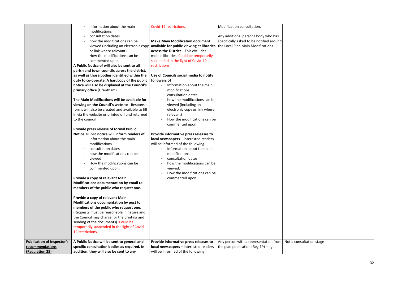|                                   | Information about the main<br>modifications<br>consultation dates<br>how the modifications can be<br>viewed (including an electronic copy<br>or link where relevant)<br>How the modifications can be<br>commented upon<br>A Public Notice of will also be sent to all<br>parish and town councils across the district,<br>as well as those bodies identified within the<br>duty to co-operate. A hardcopy of the public<br>notice will also be displayed at the Council's<br>primary office (Grantham)<br>The Main Modifications will be available for<br>viewing on the Council's website - Response<br>forms will also be created and available to fill<br>in via the website or printed off and returned<br>to the council<br>Provide press release of formal Public<br>Notice. Public notice will inform readers of<br>Information about the main<br>modifications<br>consultation dates<br>how the modifications can be<br>viewed<br>How the modifications can be<br>commented upon.<br>Provide a copy of relevant Main<br>Modifications documentation by email to<br>members of the public who request one.<br>Provide a copy of relevant Main<br>Modifications documentation by post to<br>members of the public who request one.<br>(Requests must be reasonable in nature and<br>the Council may charge for the printing and<br>sending of the documents). Could be<br>temporarily suspended in the light of Covid-<br>19 restrictions. | Covid-19 restrictions.<br><b>Make Main Modification document</b><br>available for public viewing at libraries<br>across the District - This excludes<br>mobile libraries. Could be temporarily<br>suspended in the light of Covid-19<br>restrictions.<br>Use of Councils social media to notify<br>followers of<br>Information about the main<br>$\blacksquare$<br>modifications<br>consultation dates<br>$\blacksquare$<br>how the modifications can be<br>viewed (including an<br>electronic copy or link where<br>relevant)<br>How the modifications can be<br>commented upon<br>Provide informative press releases to<br>local newspapers - interested readers<br>will be informed of the following<br>Information about the main<br>modifications<br>consultation dates<br>how the modifications can be<br>viewed.<br>How the modifications can be<br>commented upon | Modification consultation.<br>Any additional person/body who has<br>specifically asked to be notified around<br>the Local Plan Main Modifications. |               |
|-----------------------------------|--------------------------------------------------------------------------------------------------------------------------------------------------------------------------------------------------------------------------------------------------------------------------------------------------------------------------------------------------------------------------------------------------------------------------------------------------------------------------------------------------------------------------------------------------------------------------------------------------------------------------------------------------------------------------------------------------------------------------------------------------------------------------------------------------------------------------------------------------------------------------------------------------------------------------------------------------------------------------------------------------------------------------------------------------------------------------------------------------------------------------------------------------------------------------------------------------------------------------------------------------------------------------------------------------------------------------------------------------------------------------------------------------------------------------------------------------|---------------------------------------------------------------------------------------------------------------------------------------------------------------------------------------------------------------------------------------------------------------------------------------------------------------------------------------------------------------------------------------------------------------------------------------------------------------------------------------------------------------------------------------------------------------------------------------------------------------------------------------------------------------------------------------------------------------------------------------------------------------------------------------------------------------------------------------------------------------------------|----------------------------------------------------------------------------------------------------------------------------------------------------|---------------|
| <b>Publication of Inspector's</b> | A Public Notice will be sent to general and                                                                                                                                                                                                                                                                                                                                                                                                                                                                                                                                                                                                                                                                                                                                                                                                                                                                                                                                                                                                                                                                                                                                                                                                                                                                                                                                                                                                      | Provide informative press releases to                                                                                                                                                                                                                                                                                                                                                                                                                                                                                                                                                                                                                                                                                                                                                                                                                                     | Any person with a representation from                                                                                                              | Not a consult |
| recommendations                   | specific consultation bodies as required. In                                                                                                                                                                                                                                                                                                                                                                                                                                                                                                                                                                                                                                                                                                                                                                                                                                                                                                                                                                                                                                                                                                                                                                                                                                                                                                                                                                                                     | local newspapers - interested readers                                                                                                                                                                                                                                                                                                                                                                                                                                                                                                                                                                                                                                                                                                                                                                                                                                     | the plan publication (Reg 19) stage.                                                                                                               |               |
| (Regulation 25)                   | addition, they will also be sent to any                                                                                                                                                                                                                                                                                                                                                                                                                                                                                                                                                                                                                                                                                                                                                                                                                                                                                                                                                                                                                                                                                                                                                                                                                                                                                                                                                                                                          | will be informed of the following                                                                                                                                                                                                                                                                                                                                                                                                                                                                                                                                                                                                                                                                                                                                                                                                                                         |                                                                                                                                                    |               |

# Itation stage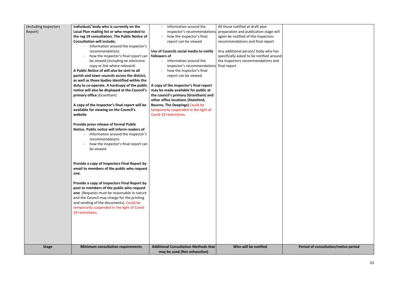| (Including Inspectors<br>Report) | individual/ body who is currently on the<br>Local Plan mailing list or who responded to<br>the reg 19 consultation. The Public Notice of<br><b>Consultation will include;</b><br>Information around the inspector's                                                                                                                                                                                                                                                                                                                                                                                            | Information around the<br>inspector's recommendations<br>how the inspector's final<br>report can be viewed                                                                                                                                                                                                                                                                                                                                     | All those notified at draft plan<br>preparation and publication stage will<br>again be notified of the Inspectors<br>recommendations and final report |  |
|----------------------------------|----------------------------------------------------------------------------------------------------------------------------------------------------------------------------------------------------------------------------------------------------------------------------------------------------------------------------------------------------------------------------------------------------------------------------------------------------------------------------------------------------------------------------------------------------------------------------------------------------------------|------------------------------------------------------------------------------------------------------------------------------------------------------------------------------------------------------------------------------------------------------------------------------------------------------------------------------------------------------------------------------------------------------------------------------------------------|-------------------------------------------------------------------------------------------------------------------------------------------------------|--|
|                                  | recommendations<br>how the inspector's final report can<br>be viewed (including an electronic<br>copy or link where relevant)<br>A Public Notice of will also be sent to all<br>parish and town councils across the district,<br>as well as those bodies identified within the<br>duty to co-operate. A hardcopy of the public<br>notice will also be displayed at the Council's<br>primary office (Grantham)<br>A copy of the Inspector's final report will be<br>available for viewing on the Council's<br>website<br>Provide press release of formal Public<br>Notice. Public notice will inform readers of | Use of Councils social media to notify<br>followers of<br>Information around the<br>inspector's recommendations<br>how the inspector's final<br>report can be viewed<br>A copy of the inspector's final report<br>may be made available for public at<br>the council's primary (Grantham) and<br>other office locations (Stamford,<br><b>Bourne, The Deepings) Could be</b><br>temporarily suspended in the light of<br>Covid-19 restrictions. | Any additional person/body who has<br>specifically asked to be notified around<br>the Inspectors recommendations and<br>final report                  |  |
|                                  | Information around the inspector's<br>recommendations<br>how the inspector's final report can<br>be viewed<br>Provide a copy of Inspectors Final Report by                                                                                                                                                                                                                                                                                                                                                                                                                                                     |                                                                                                                                                                                                                                                                                                                                                                                                                                                |                                                                                                                                                       |  |
|                                  | email to members of the public who request<br>one.<br>Provide a copy of Inspectors Final Report by<br>post to members of the public who request<br>one. (Requests must be reasonable in nature<br>and the Council may charge for the printing<br>and sending of the documents). Could be<br>temporarily suspended in the light of Covid-<br>19 restrictions.                                                                                                                                                                                                                                                   | Additional Consultation Methods that                                                                                                                                                                                                                                                                                                                                                                                                           | Who will be notified                                                                                                                                  |  |
| <b>Stage</b>                     | <b>Minimum consultation requirements</b>                                                                                                                                                                                                                                                                                                                                                                                                                                                                                                                                                                       | may be used (Not exhaustive)                                                                                                                                                                                                                                                                                                                                                                                                                   |                                                                                                                                                       |  |

**Period of consultation/notice period**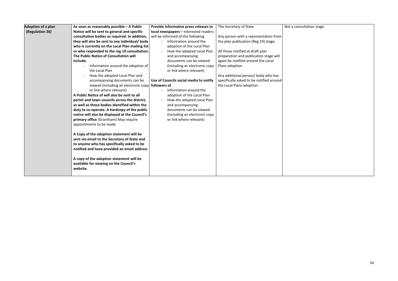| <b>Adoption of a plan</b> | As soon as reasonably possible - A Public       | Provide informative press releases to  | The Secretary of State                   | Not a |
|---------------------------|-------------------------------------------------|----------------------------------------|------------------------------------------|-------|
| (Regulation 26)           | Notice will be sent to general and specific     | local newspapers - interested readers  |                                          |       |
|                           | consultation bodies as required. In addition,   | will be informed of the following      | Any person with a representation from    |       |
|                           | they will also be sent to any individual/body   | Information around the<br>$\sim$       | the plan publication (Reg 19) stage.     |       |
|                           | who is currently on the Local Plan mailing list | adoption of the Local Plan             |                                          |       |
|                           | or who responded to the reg 19 consultation.    | How the adopted Local Plan             | All those notified at draft plan         |       |
|                           | The Public Notice of Consultation will          | and accompanying                       | preparation and publication stage will   |       |
|                           | include;                                        | documents can be viewed                | again be notified around the Local       |       |
|                           | Information around the adoption of              | (including an electronic copy          | Plans adoption                           |       |
|                           | the Local Plan                                  | or link where relevant)                |                                          |       |
|                           | How the adopted Local Plan and                  |                                        | Any additional person/body who has       |       |
|                           | accompanying documents can be                   | Use of Councils social media to notify | specifically asked to be notified around |       |
|                           | viewed (including an electronic copy            | followers of                           | the Local Plans adoption.                |       |
|                           | or link where relevant)                         | Information around the                 |                                          |       |
|                           | A Public Notice of will also be sent to all     | adoption of the Local Plan             |                                          |       |
|                           | parish and town councils across the district,   | How the adopted Local Plan             |                                          |       |
|                           | as well as those bodies identified within the   | and accompanying                       |                                          |       |
|                           | duty to co-operate. A hardcopy of the public    | documents can be viewed                |                                          |       |
|                           | notice will also be displayed at the Council's  | (including an electronic copy          |                                          |       |
|                           | primary office (Grantham) May require           | or link where relevant)                |                                          |       |
|                           | appointments to be made                         |                                        |                                          |       |
|                           |                                                 |                                        |                                          |       |
|                           | A Copy of the adoption statement will be        |                                        |                                          |       |
|                           | sent via email to the Secretary of State and    |                                        |                                          |       |
|                           | to anyone who has specifically asked to be      |                                        |                                          |       |
|                           | notified and have provided an email address     |                                        |                                          |       |
|                           |                                                 |                                        |                                          |       |
|                           | A copy of the adoption statement will be        |                                        |                                          |       |
|                           | available for viewing on the Council's          |                                        |                                          |       |
|                           | website.                                        |                                        |                                          |       |
|                           |                                                 |                                        |                                          |       |

a consultation stage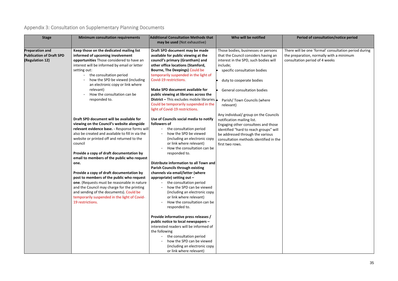# <span id="page-39-0"></span>Appendix 3: Consultation on Supplementary Planning Documents

# **Who will be notified Period of consultation/notice period**

I be one 'formal' consultation period during ration, normally with a minimum ion period of 4 weeks

| <b>Stage</b>                    | <b>Minimum consultation requirements</b>         | <b>Additional Consultation Methods that</b><br>may be used (Not exhaustive) | Who will be notified                   | Per          |
|---------------------------------|--------------------------------------------------|-----------------------------------------------------------------------------|----------------------------------------|--------------|
| <b>Preparation and</b>          | Keep those on the dedicated mailing list         | Draft SPD document may be made                                              | Those bodies, businesses or persons    | There will I |
| <b>Publication of Draft SPD</b> | informed of upcoming involvement                 | available for public viewing at the                                         | that the Council considers having an   | the prepar   |
| (Regulation 12)                 | opportunities Those considered to have an        | council's primary (Grantham) and                                            | interest in the SPD, such bodies will  | consultatic  |
|                                 | interest will be informed by email or letter     | other office locations (Stamford,                                           | include;                               |              |
|                                 | setting out:                                     | Bourne, The Deepings) Could be                                              | specific consultation bodies           |              |
|                                 | the consultation period                          | temporarily suspended in the light of                                       |                                        |              |
|                                 | how the SPD be viewed (including                 | Covid-19 restrictions.                                                      | duty to cooperate bodies               |              |
|                                 | an electronic copy or link where                 |                                                                             |                                        |              |
|                                 | relevant)                                        | Make SPD document available for                                             | General consultation bodies            |              |
|                                 | How the consultation can be                      | public viewing at libraries across the                                      |                                        |              |
|                                 | responded to.                                    | <b>District</b> – This excludes mobile libraries.                           | Parish/Town Councils (where            |              |
|                                 |                                                  | Could be temporarily suspended in the                                       | relevant)                              |              |
|                                 |                                                  | light of Covid-19 restrictions.                                             |                                        |              |
|                                 |                                                  |                                                                             | Any individual/ group on the Councils  |              |
|                                 | Draft SPD document will be available for         | Use of Councils social media to notify                                      | notification mailing list.             |              |
|                                 | viewing on the Council's website alongside       | followers of                                                                | Engaging other consultees and those    |              |
|                                 | relevant evidence base. - Response forms will    | the consultation period                                                     | identified "hard to reach groups" will |              |
|                                 | also be created and available to fill in via the | how the SPD be viewed                                                       | be addressed through the various       |              |
|                                 | website or printed off and returned to the       | (including an electronic copy                                               | consultation methods identified in the |              |
|                                 | council                                          | or link where relevant)                                                     | first two rows.                        |              |
|                                 |                                                  | How the consultation can be                                                 |                                        |              |
|                                 | Provide a copy of draft documentation by         | responded to.                                                               |                                        |              |
|                                 | email to members of the public who request       |                                                                             |                                        |              |
|                                 | one.                                             | Distribute information to all Town and                                      |                                        |              |
|                                 |                                                  | <b>Parish Councils through existing</b>                                     |                                        |              |
|                                 | Provide a copy of draft documentation by         | channels via email/letter (where                                            |                                        |              |
|                                 | post to members of the public who request        | appropriate) setting out $-$                                                |                                        |              |
|                                 | one. (Requests must be reasonable in nature      | the consultation period                                                     |                                        |              |
|                                 | and the Council may charge for the printing      | how the SPD can be viewed                                                   |                                        |              |
|                                 | and sending of the documents). Could be          | (including an electronic copy                                               |                                        |              |
|                                 | temporarily suspended in the light of Covid-     | or link where relevant)                                                     |                                        |              |
|                                 | 19 restrictions.                                 | How the consultation can be                                                 |                                        |              |
|                                 |                                                  | responded to.                                                               |                                        |              |
|                                 |                                                  |                                                                             |                                        |              |
|                                 |                                                  | Provide informative press releases /                                        |                                        |              |
|                                 |                                                  | public notice to local newspapers -                                         |                                        |              |
|                                 |                                                  | interested readers will be informed of                                      |                                        |              |
|                                 |                                                  | the following                                                               |                                        |              |
|                                 |                                                  | the consultation period<br>$\sim$                                           |                                        |              |
|                                 |                                                  | how the SPD can be viewed                                                   |                                        |              |
|                                 |                                                  | (including an electronic copy                                               |                                        |              |
|                                 |                                                  | or link where relevant)                                                     |                                        |              |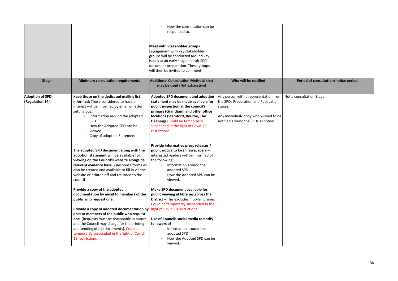# **Who will be notified Period of consultation/notice period**

sultation Stage

|                                           |                                                                                                                                                                                                                                                                                                                                                                                                              | How the consultation can be<br>responded to.<br><b>Meet with Stakeholder groups</b><br>Engagement with key stakeholder<br>groups will be conducted around key<br>issues at an early stage in draft SPD<br>document preparation. These groups<br>will then be invited to comment.                                                                       |                                                                                                                                                                         |            |
|-------------------------------------------|--------------------------------------------------------------------------------------------------------------------------------------------------------------------------------------------------------------------------------------------------------------------------------------------------------------------------------------------------------------------------------------------------------------|--------------------------------------------------------------------------------------------------------------------------------------------------------------------------------------------------------------------------------------------------------------------------------------------------------------------------------------------------------|-------------------------------------------------------------------------------------------------------------------------------------------------------------------------|------------|
| <b>Stage</b>                              | <b>Minimum consultation requirements</b>                                                                                                                                                                                                                                                                                                                                                                     | <b>Additional Consultation Methods that</b><br>may be used (Not exhaustive)                                                                                                                                                                                                                                                                            | Who will be notified                                                                                                                                                    | Per        |
| <b>Adoption of SPD</b><br>(Regulation 14) | Keep those on the dedicated mailing list<br>informed; Those considered to have an<br>interest will be informed by email or letter<br>setting out:<br>Information around the adopted<br><b>SPD</b><br>How the Adopted SPD can be<br>viewed.<br>Copy of adoption Statement                                                                                                                                     | <b>Adopted SPD document and adoption</b><br>statement may be made available for<br>public inspection at the council's<br>primary (Grantham) and other office<br>locations (Stamford, Bourne, The<br><b>Deepings) Could be temporarily</b><br>suspended in the light of Covid-19<br>restrictions.                                                       | Any person with a representation from<br>the SPDs Preparation and Publication<br>stages.<br>Any individual/ body who wished to be<br>notified around the SPDs adoption. | Not a cons |
|                                           | The adopted SPD document along with the<br>adoption statement will be available for<br>viewing on the Council's website alongside<br>relevant evidence base. - Response forms will<br>also be created and available to fill in via the<br>website or printed off and returned to the<br>council                                                                                                              | Provide informative press releases /<br>public notice to local newspapers -<br>interested readers will be informed of<br>the following<br>Information around the<br>adopted SPD<br>How the Adopted SPD can be<br>viewed.                                                                                                                               |                                                                                                                                                                         |            |
|                                           | Provide a copy of the adopted<br>documentation by email to members of the<br>public who request one.<br>Provide a copy of adopted documentation by<br>post to members of the public who request<br>one. (Requests must be reasonable in nature<br>and the Council may charge for the printing<br>and sending of the documents). Could be<br>temporarily suspended in the light of Covid-<br>19 restrictions. | Make SPD document available for<br>public viewing at libraries across the<br><b>District - This excludes mobile libraries.</b><br>Could be temporarily suspended in the<br>light of Covid-19 restrictions.<br>Use of Councils social media to notify<br>followers of<br>Information around the<br>adopted SPD<br>How the Adopted SPD can be<br>viewed. |                                                                                                                                                                         |            |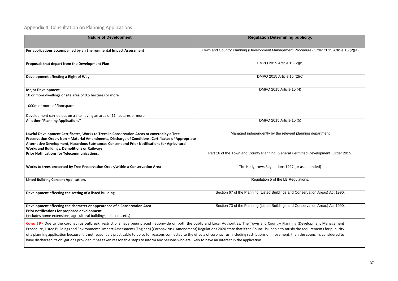# <span id="page-41-0"></span>Appendix 4: Consultation on Planning Applications

| <b>Nature of Development</b>                                                                                                                                                                                                                                                                                                                                                                                                                                                                                                                                                                                                                                                                                                                                 | <b>Regulation Determining publicity.</b>                                                  |
|--------------------------------------------------------------------------------------------------------------------------------------------------------------------------------------------------------------------------------------------------------------------------------------------------------------------------------------------------------------------------------------------------------------------------------------------------------------------------------------------------------------------------------------------------------------------------------------------------------------------------------------------------------------------------------------------------------------------------------------------------------------|-------------------------------------------------------------------------------------------|
| For applications accompanied by an Environmental Impact Assessment                                                                                                                                                                                                                                                                                                                                                                                                                                                                                                                                                                                                                                                                                           | Town and Country Planning (Development Management Procedure) Order 2015 Article 15 (2)(a) |
| Proposals that depart from the Development Plan                                                                                                                                                                                                                                                                                                                                                                                                                                                                                                                                                                                                                                                                                                              | DMPO 2015 Article 15 (2)(b)                                                               |
| Development affecting a Right of Way                                                                                                                                                                                                                                                                                                                                                                                                                                                                                                                                                                                                                                                                                                                         | DMPO 2015 Article 15 (2)(c)                                                               |
| <b>Major Development</b><br>10 or more dwellings or site area of 0.5 hectares or more                                                                                                                                                                                                                                                                                                                                                                                                                                                                                                                                                                                                                                                                        | DMPO 2015 Article 15 (4)                                                                  |
| 1000m or more of floorspace                                                                                                                                                                                                                                                                                                                                                                                                                                                                                                                                                                                                                                                                                                                                  |                                                                                           |
| Development carried out on a site having an area of 11 hectares or more<br>All other "Planning Applications"                                                                                                                                                                                                                                                                                                                                                                                                                                                                                                                                                                                                                                                 | DMPO 2015 Article 15 (5)                                                                  |
| Lawful Development Certificates, Works to Trees in Conservation Areas or covered by a Tree<br>Preservation Order, Non - Material Amendments, Discharge of Conditions, Certificates of Appropriate<br>Alternative Development, Hazardous Substances Consent and Prior Notifications for Agricultural<br><b>Works and Buildings, Demolitions or Railways</b>                                                                                                                                                                                                                                                                                                                                                                                                   | Managed independently by the relevant planning department                                 |
| <b>Prior Notifications for Telecommunications.</b>                                                                                                                                                                                                                                                                                                                                                                                                                                                                                                                                                                                                                                                                                                           | Part 16 of the Town and County Planning (General Permitted Development) Order 2015.       |
| Works to trees protected by Tree Preservation Order/within a Conservation Area                                                                                                                                                                                                                                                                                                                                                                                                                                                                                                                                                                                                                                                                               | The Hedgerows Regulations 1997 (or as amended)                                            |
| <b>Listed Building Consent Application.</b>                                                                                                                                                                                                                                                                                                                                                                                                                                                                                                                                                                                                                                                                                                                  | Regulation 5 of the LB Regulations.                                                       |
| Development affecting the setting of a listed building.                                                                                                                                                                                                                                                                                                                                                                                                                                                                                                                                                                                                                                                                                                      | Section 67 of the Planning (Listed Buildings and Conservation Areas) Act 1990.            |
| Development affecting the character or appearance of a Conservation Area<br>Prior notifications for proposed development<br>(includes home extensions, agricultural buildings, telecoms etc.)                                                                                                                                                                                                                                                                                                                                                                                                                                                                                                                                                                | Section 73 of the Planning (Listed Buildings and Conservation Areas) Act 1990.            |
| Covid 19 - Due to the coronavirus outbreak, restrictions have been placed nationwide on both the public and Local Authorities. The Town and Country Planning (Development Management<br>Procedure, Listed Buildings and Environmental Impact Assessment) (England) (Coronavirus) (Amendment) Regulations 2020 state that if the Council is unable to satisfy the requirements for publicity<br>of a planning application because it is not reasonably practicable to do so for reasons connected to the effects of coronavirus, including restrictions on movement, then the council is considered to<br>have discharged its obligations provided it has taken reasonable steps to inform any persons who are likely to have an interest in the application. |                                                                                           |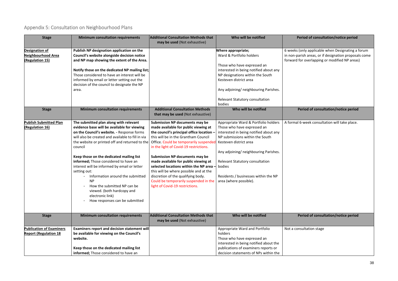# <span id="page-42-0"></span>Appendix 5: Consultation on Neighbourhood Plans

# **Who consultation/notice period**

only applicable when Designating a forum rish areas, or if designation proposals come or overlapping or modified NP areas)

**Who will be notified Period of consultation/notice period**

6-week consultation will take place.

| <b>Stage</b>                                                    | <b>Minimum consultation requirements</b>                                                                                                                                                                                                                                                                                                                                                                                                                                                                                                                                       | <b>Additional Consultation Methods that</b><br>may be used (Not exhaustive)                                                                                                                                                                                                                                                                                                                                                                                                                                                                | Who will be notified                                                                                                                                                                                                                                                                                                               | Pe                                     |
|-----------------------------------------------------------------|--------------------------------------------------------------------------------------------------------------------------------------------------------------------------------------------------------------------------------------------------------------------------------------------------------------------------------------------------------------------------------------------------------------------------------------------------------------------------------------------------------------------------------------------------------------------------------|--------------------------------------------------------------------------------------------------------------------------------------------------------------------------------------------------------------------------------------------------------------------------------------------------------------------------------------------------------------------------------------------------------------------------------------------------------------------------------------------------------------------------------------------|------------------------------------------------------------------------------------------------------------------------------------------------------------------------------------------------------------------------------------------------------------------------------------------------------------------------------------|----------------------------------------|
| Designation of<br><b>Neighbourhood Area</b><br>(Regulation 15)  | Publish NP designation application on the<br>Council's website alongside decision notice<br>and NP map showing the extent of the Area.<br>Notify those on the dedicated NP mailing list;<br>Those considered to have an interest will be<br>informed by email or letter setting out the<br>decision of the council to designate the NP<br>area.                                                                                                                                                                                                                                |                                                                                                                                                                                                                                                                                                                                                                                                                                                                                                                                            | <b>Where appropriate;</b><br>Ward & Portfolio holders<br>Those who have expressed an<br>interested in being notified about any<br>NP designations within the South<br>Kesteven district area<br>Any adjoining/ neighbouring Parishes.<br>Relevant Statutory consultation<br>bodies                                                 | 6 weeks (c<br>in non-par<br>forward fo |
| <b>Stage</b>                                                    | <b>Minimum consultation requirements</b>                                                                                                                                                                                                                                                                                                                                                                                                                                                                                                                                       | <b>Additional Consultation Methods</b><br>that may be used (Not exhaustive)                                                                                                                                                                                                                                                                                                                                                                                                                                                                | Who will be notified                                                                                                                                                                                                                                                                                                               | P <sub>f</sub>                         |
| <b>Publish Submitted Plan</b><br>(Regulation 16)                | The submitted plan along with relevant<br>evidence base will be available for viewing<br>on the Council's website. - Response forms<br>will also be created and available to fill in via<br>the website or printed off and returned to the<br>council<br>Keep those on the dedicated mailing list<br>informed; Those considered to have an<br>interest will be informed by email or letter<br>setting out:<br>Information around the submitted<br><b>NP</b><br>How the submitted NP can be<br>viewed. (both hardcopy and<br>electronic link)<br>How responses can be submitted | <b>Submission NP documents may be</b><br>made available for public viewing at<br>the council's principal office location<br>this will be in the Grantham Council<br>Office. Could be temporarily suspended<br>in the light of Covid-19 restrictions.<br><b>Submission NP documents may be</b><br>made available for public viewing at<br>selected locations within the NP area<br>this will be where possible and at the<br>discretion of the qualifying body.<br>Could be temporarily suspended in the<br>light of Covid-19 restrictions. | Appropriate Ward & Portfolio holders<br>Those who have expressed an<br>interested in being notified about any<br>NP submissions within the South<br>Kesteven district area<br>Any adjoining/ neighbouring Parishes.<br>Relevant Statutory consultation<br>bodies<br>Residents / businesses within the NP<br>area (where possible). | A formal 6                             |
| <b>Stage</b>                                                    | <b>Minimum consultation requirements</b>                                                                                                                                                                                                                                                                                                                                                                                                                                                                                                                                       | <b>Additional Consultation Methods that</b><br>may be used (Not exhaustive)                                                                                                                                                                                                                                                                                                                                                                                                                                                                | Who will be notified                                                                                                                                                                                                                                                                                                               | P <sub>f</sub>                         |
| <b>Publication of Examiners</b><br><b>Report (Regulation 18</b> | <b>Examiners report and decision statement will</b><br>be available for viewing on the Council's<br>website.<br>Keep those on the dedicated mailing list<br>informed; Those considered to have an                                                                                                                                                                                                                                                                                                                                                                              |                                                                                                                                                                                                                                                                                                                                                                                                                                                                                                                                            | Appropriate Ward and Portfolio<br>holders<br>Those who have expressed an<br>interested in being notified about the<br>publications of examiners reports or<br>decision statements of NPs within the                                                                                                                                | Not a cons                             |

# **Who will be notified Period of consultation/notice period**

sultation stage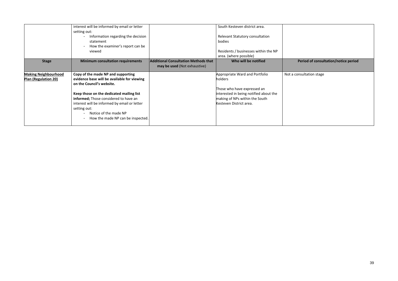|                             | interest will be informed by email or letter |                                             | South Kesteven district area.          |            |
|-----------------------------|----------------------------------------------|---------------------------------------------|----------------------------------------|------------|
|                             | setting out:                                 |                                             |                                        |            |
|                             | Information regarding the decision           |                                             | Relevant Statutory consultation        |            |
|                             | statement                                    |                                             | bodies                                 |            |
|                             | How the examiner's report can be             |                                             |                                        |            |
|                             | viewed                                       |                                             | Residents / businesses within the NP   |            |
|                             |                                              |                                             | area. (where possible)                 |            |
| <b>Stage</b>                | <b>Minimum consultation requirements</b>     | <b>Additional Consultation Methods that</b> | Who will be notified                   | Pe         |
|                             |                                              | may be used (Not exhaustive)                |                                        |            |
| <b>Making Neighbourhood</b> | Copy of the made NP and supporting           |                                             | Appropriate Ward and Portfolio         | Not a cons |
| Plan (Regulation 20)        | evidence base will be available for viewing  |                                             | holders                                |            |
|                             | on the Council's website.                    |                                             |                                        |            |
|                             |                                              |                                             | Those who have expressed an            |            |
|                             | Keep those on the dedicated mailing list     |                                             | interested in being notified about the |            |
|                             | informed; Those considered to have an        |                                             | making of NPs within the South         |            |
|                             | interest will be informed by email or letter |                                             | Kesteven District area.                |            |
|                             | setting out:                                 |                                             |                                        |            |
|                             | Notice of the made NP                        |                                             |                                        |            |
|                             | How the made NP can be inspected.            |                                             |                                        |            |
|                             |                                              |                                             |                                        |            |
|                             |                                              |                                             |                                        |            |

# **Who will be ready of consultation/notice period**

sultation stage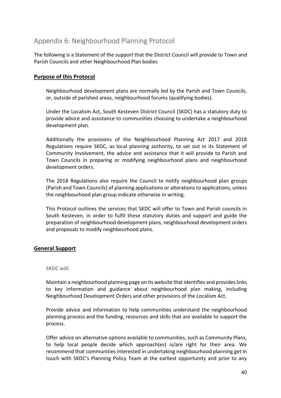# <span id="page-44-0"></span>Appendix 6: Neighbourhood Planning Protocol

The following is a Statement of the support that the District Council will provide to Town and Parish Councils and other Neighbourhood Plan bodies

# <span id="page-44-1"></span>**Purpose of this Protocol**

Neighbourhood development plans are normally led by the Parish and Town Councils, or, outside of parished areas, neighbourhood forums (qualifying bodies).

Under the Localism Act, South Kesteven District Council (SKDC) has a statutory duty to provide advice and assistance to communities choosing to undertake a neighbourhood development plan.

Additionally the provisions of the Neighbourhood Planning Act 2017 and 2018 Regulations require SKDC, as local planning authority, to set out in its Statement of Community Involvement, the advice and assistance that it will provide to Parish and Town Councils in preparing or modifying neighbourhood plans and neighbourhood development orders.

The 2018 Regulations also require the Council to notify neighbourhood plan groups (Parish and Town Councils) of planning applications or alterations to applications, unless the neighbourhood plan group indicate otherwise in writing.

This Protocol outlines the services that SKDC will offer to Town and Parish councils in South Kesteven, in order to fulfil these statutory duties and support and guide the preparation of neighbourhood development plans, neighbourhood development orders and proposals to modify neighbourhood plans.

### <span id="page-44-2"></span>**General Support**

#### **SKDC will:**

Maintain a neighbourhood planning page on its website that identifies and provides links to key information and guidance about neighbourhood plan making, including Neighbourhood Development Orders and other provisions of the Localism Act.

Provide advice and information to help communities understand the neighbourhood planning process and the funding, resources and skills that are available to support the process.

Offer advice on alternative options available to communities, such as Community Plans, to help local people decide which approach(es) is/are right for their area. We recommend that communities interested in undertaking neighbourhood planning get in touch with SKDC's Planning Policy Team at the earliest opportunity and prior to any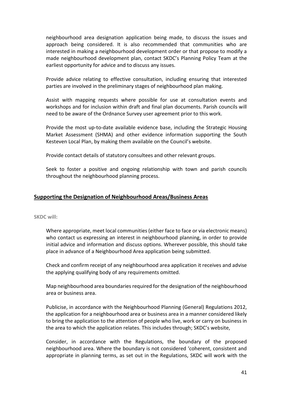neighbourhood area designation application being made, to discuss the issues and approach being considered. It is also recommended that communities who are interested in making a neighbourhood development order or that propose to modify a made neighbourhood development plan, contact SKDC's Planning Policy Team at the earliest opportunity for advice and to discuss any issues.

Provide advice relating to effective consultation, including ensuring that interested parties are involved in the preliminary stages of neighbourhood plan making.

Assist with mapping requests where possible for use at consultation events and workshops and for inclusion within draft and final plan documents. Parish councils will need to be aware of the Ordnance Survey user agreement prior to this work.

Provide the most up-to-date available evidence base, including the Strategic Housing Market Assessment (SHMA) and other evidence information supporting the South Kesteven Local Plan, by making them available on the Council's website.

Provide contact details of statutory consultees and other relevant groups.

Seek to foster a positive and ongoing relationship with town and parish councils throughout the neighbourhood planning process.

### <span id="page-45-0"></span>**Supporting the Designation of Neighbourhood Areas/Business Areas**

**SKDC will:**

Where appropriate, meet local communities (either face to face or via electronic means) who contact us expressing an interest in neighbourhood planning, in order to provide initial advice and information and discuss options. Wherever possible, this should take place in advance of a Neighbourhood Area application being submitted.

Check and confirm receipt of any neighbourhood area application it receives and advise the applying qualifying body of any requirements omitted.

Map neighbourhood area boundaries required for the designation of the neighbourhood area or business area.

Publicise, in accordance with the Neighbourhood Planning (General) Regulations 2012, the application for a neighbourhood area or business area in a manner considered likely to bring the application to the attention of people who live, work or carry on business in the area to which the application relates. This includes through; SKDC's website,

Consider, in accordance with the Regulations, the boundary of the proposed neighbourhood area. Where the boundary is not considered 'coherent, consistent and appropriate in planning terms, as set out in the Regulations, SKDC will work with the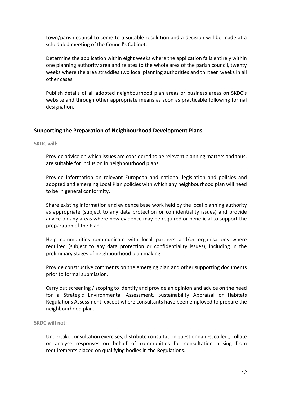town/parish council to come to a suitable resolution and a decision will be made at a scheduled meeting of the Council's Cabinet.

Determine the application within eight weeks where the application falls entirely within one planning authority area and relates to the whole area of the parish council, twenty weeks where the area straddles two local planning authorities and thirteen weeks in all other cases.

Publish details of all adopted neighbourhood plan areas or business areas on SKDC's website and through other appropriate means as soon as practicable following formal designation.

### <span id="page-46-0"></span>**Supporting the Preparation of Neighbourhood Development Plans**

**SKDC will:**

Provide advice on which issues are considered to be relevant planning matters and thus, are suitable for inclusion in neighbourhood plans.

Provide information on relevant European and national legislation and policies and adopted and emerging Local Plan policies with which any neighbourhood plan will need to be in general conformity.

Share existing information and evidence base work held by the local planning authority as appropriate (subject to any data protection or confidentiality issues) and provide advice on any areas where new evidence may be required or beneficial to support the preparation of the Plan.

Help communities communicate with local partners and/or organisations where required (subject to any data protection or confidentiality issues), including in the preliminary stages of neighbourhood plan making

Provide constructive comments on the emerging plan and other supporting documents prior to formal submission.

Carry out screening / scoping to identify and provide an opinion and advice on the need for a Strategic Environmental Assessment, Sustainability Appraisal or Habitats Regulations Assessment, except where consultants have been employed to prepare the neighbourhood plan.

#### **SKDC will not:**

Undertake consultation exercises, distribute consultation questionnaires, collect, collate or analyse responses on behalf of communities for consultation arising from requirements placed on qualifying bodies in the Regulations.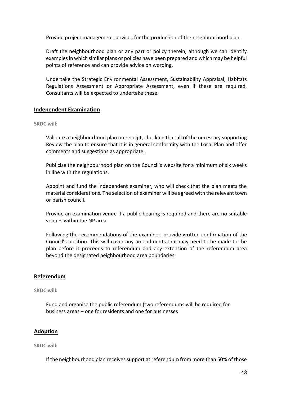Provide project management services for the production of the neighbourhood plan.

Draft the neighbourhood plan or any part or policy therein, although we can identify examples in which similar plans or policies have been prepared and which may be helpful points of reference and can provide advice on wording.

Undertake the Strategic Environmental Assessment, Sustainability Appraisal, Habitats Regulations Assessment or Appropriate Assessment, even if these are required. Consultants will be expected to undertake these.

#### <span id="page-47-0"></span>**Independent Examination**

#### **SKDC will:**

Validate a neighbourhood plan on receipt, checking that all of the necessary supporting Review the plan to ensure that it is in general conformity with the Local Plan and offer comments and suggestions as appropriate.

Publicise the neighbourhood plan on the Council's website for a minimum of six weeks in line with the regulations.

Appoint and fund the independent examiner, who will check that the plan meets the material considerations. The selection of examiner will be agreed with the relevant town or parish council.

Provide an examination venue if a public hearing is required and there are no suitable venues within the NP area.

Following the recommendations of the examiner, provide written confirmation of the Council's position. This will cover any amendments that may need to be made to the plan before it proceeds to referendum and any extension of the referendum area beyond the designated neighbourhood area boundaries.

#### <span id="page-47-1"></span>**Referendum**

#### **SKDC will:**

Fund and organise the public referendum (two referendums will be required for business areas – one for residents and one for businesses

### <span id="page-47-2"></span>**Adoption**

**SKDC will:**

If the neighbourhood plan receives support at referendum from more than 50% of those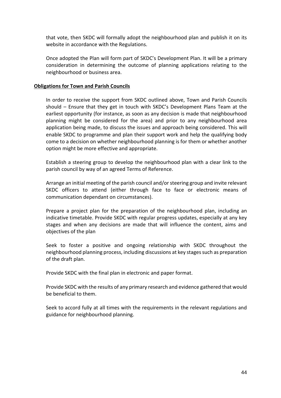that vote, then SKDC will formally adopt the neighbourhood plan and publish it on its website in accordance with the Regulations.

Once adopted the Plan will form part of SKDC's Development Plan. It will be a primary consideration in determining the outcome of planning applications relating to the neighbourhood or business area.

#### **Obligations for Town and Parish Councils**

In order to receive the support from SKDC outlined above, Town and Parish Councils should – Ensure that they get in touch with SKDC's Development Plans Team at the earliest opportunity (for instance, as soon as any decision is made that neighbourhood planning might be considered for the area) and prior to any neighbourhood area application being made, to discuss the issues and approach being considered. This will enable SKDC to programme and plan their support work and help the qualifying body come to a decision on whether neighbourhood planning is for them or whether another option might be more effective and appropriate.

Establish a steering group to develop the neighbourhood plan with a clear link to the parish council by way of an agreed Terms of Reference.

Arrange an initial meeting of the parish council and/or steering group and invite relevant SKDC officers to attend (either through face to face or electronic means of communication dependant on circumstances).

Prepare a project plan for the preparation of the neighbourhood plan, including an indicative timetable. Provide SKDC with regular progress updates, especially at any key stages and when any decisions are made that will influence the content, aims and objectives of the plan

Seek to foster a positive and ongoing relationship with SKDC throughout the neighbourhood planning process, including discussions at key stages such as preparation of the draft plan.

Provide SKDC with the final plan in electronic and paper format.

Provide SKDC with the results of any primary research and evidence gathered that would be beneficial to them.

Seek to accord fully at all times with the requirements in the relevant regulations and guidance for neighbourhood planning.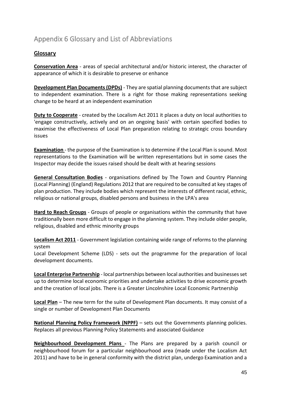# <span id="page-49-0"></span>Appendix 6 Glossary and List of Abbreviations

# **Glossary**

**Conservation Area** - areas of special architectural and/or historic interest, the character of appearance of which it is desirable to preserve or enhance

**Development Plan Documents (DPDs)** - They are spatial planning documents that are subject to independent examination. There is a right for those making representations seeking change to be heard at an independent examination

**Duty to Cooperate** - created by the Localism Act 2011 it places a duty on local authorities to 'engage constructively, actively and on an ongoing basis' with certain specified bodies to maximise the effectiveness of Local Plan preparation relating to strategic cross boundary issues

**Examination** - the purpose of the Examination is to determine if the Local Plan is sound. Most representations to the Examination will be written representations but in some cases the Inspector may decide the issues raised should be dealt with at hearing sessions

**General Consultation Bodies** - organisations defined by The Town and Country Planning (Local Planning) (England) Regulations 2012 that are required to be consulted at key stages of plan production. They include bodies which represent the interests of different racial, ethnic, religious or national groups, disabled persons and business in the LPA's area

**Hard to Reach Groups** - Groups of people or organisations within the community that have traditionally been more difficult to engage in the planning system. They include older people, religious, disabled and ethnic minority groups

**Localism Act 2011** - Government legislation containing wide range of reforms to the planning system

Local Development Scheme (LDS) - sets out the programme for the preparation of local development documents.

**Local Enterprise Partnership** - local partnerships between local authorities and businesses set up to determine local economic priorities and undertake activities to drive economic growth and the creation of local jobs. There is a Greater Lincolnshire Local Economic Partnership

**Local Plan** – The new term for the suite of Development Plan documents. It may consist of a single or number of Development Plan Documents

**National Planning Policy Framework (NPPF)** – sets out the Governments planning policies. Replaces all previous Planning Policy Statements and associated Guidance

**Neighbourhood Development Plans** - The Plans are prepared by a parish council or neighbourhood forum for a particular neighbourhood area (made under the Localism Act 2011) and have to be in general conformity with the district plan, undergo Examination and a